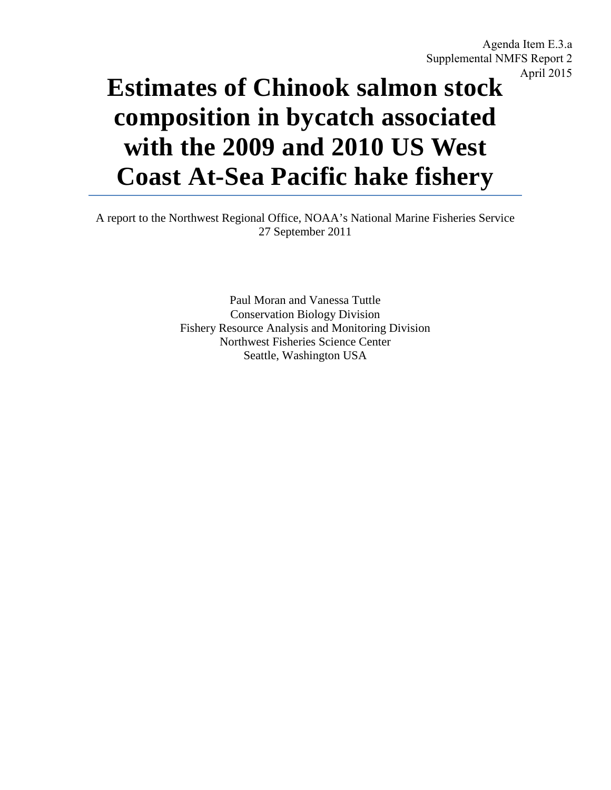Agenda Item E.3.a Supplemental NMFS Report 2 April 2015

# **Estimates of Chinook salmon stock composition in bycatch associated with the 2009 and 2010 US West Coast At-Sea Pacific hake fishery**

A report to the Northwest Regional Office, NOAA's National Marine Fisheries Service 27 September 2011

> Paul Moran and Vanessa Tuttle Conservation Biology Division Fishery Resource Analysis and Monitoring Division Northwest Fisheries Science Center Seattle, Washington USA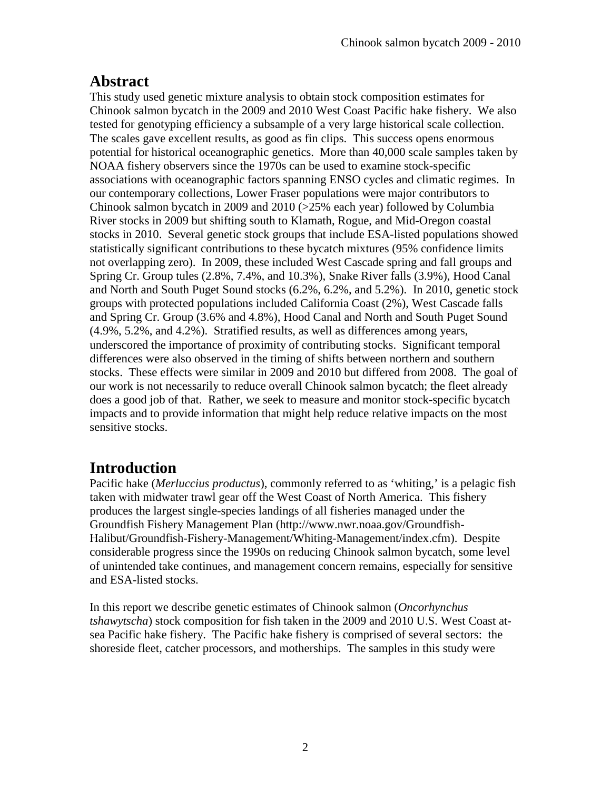# **Abstract**

This study used genetic mixture analysis to obtain stock composition estimates for Chinook salmon bycatch in the 2009 and 2010 West Coast Pacific hake fishery. We also tested for genotyping efficiency a subsample of a very large historical scale collection. The scales gave excellent results, as good as fin clips. This success opens enormous potential for historical oceanographic genetics. More than 40,000 scale samples taken by NOAA fishery observers since the 1970s can be used to examine stock-specific associations with oceanographic factors spanning ENSO cycles and climatic regimes. In our contemporary collections, Lower Fraser populations were major contributors to Chinook salmon bycatch in 2009 and  $2010$  ( $>25\%$  each year) followed by Columbia River stocks in 2009 but shifting south to Klamath, Rogue, and Mid-Oregon coastal stocks in 2010. Several genetic stock groups that include ESA-listed populations showed statistically significant contributions to these bycatch mixtures (95% confidence limits not overlapping zero). In 2009, these included West Cascade spring and fall groups and Spring Cr. Group tules (2.8%, 7.4%, and 10.3%), Snake River falls (3.9%), Hood Canal and North and South Puget Sound stocks (6.2%, 6.2%, and 5.2%). In 2010, genetic stock groups with protected populations included California Coast (2%), West Cascade falls and Spring Cr. Group (3.6% and 4.8%), Hood Canal and North and South Puget Sound (4.9%, 5.2%, and 4.2%). Stratified results, as well as differences among years, underscored the importance of proximity of contributing stocks. Significant temporal differences were also observed in the timing of shifts between northern and southern stocks. These effects were similar in 2009 and 2010 but differed from 2008. The goal of our work is not necessarily to reduce overall Chinook salmon bycatch; the fleet already does a good job of that. Rather, we seek to measure and monitor stock-specific bycatch impacts and to provide information that might help reduce relative impacts on the most sensitive stocks.

# **Introduction**

Pacific hake (*Merluccius productus*), commonly referred to as 'whiting,' is a pelagic fish taken with midwater trawl gear off the West Coast of North America. This fishery produces the largest single-species landings of all fisheries managed under the Groundfish Fishery Management Plan (http://www.nwr.noaa.gov/Groundfish-Halibut/Groundfish-Fishery-Management/Whiting-Management/index.cfm). Despite considerable progress since the 1990s on reducing Chinook salmon bycatch, some level of unintended take continues, and management concern remains, especially for sensitive and ESA-listed stocks.

In this report we describe genetic estimates of Chinook salmon (*Oncorhynchus tshawytscha*) stock composition for fish taken in the 2009 and 2010 U.S. West Coast atsea Pacific hake fishery. The Pacific hake fishery is comprised of several sectors: the shoreside fleet, catcher processors, and motherships. The samples in this study were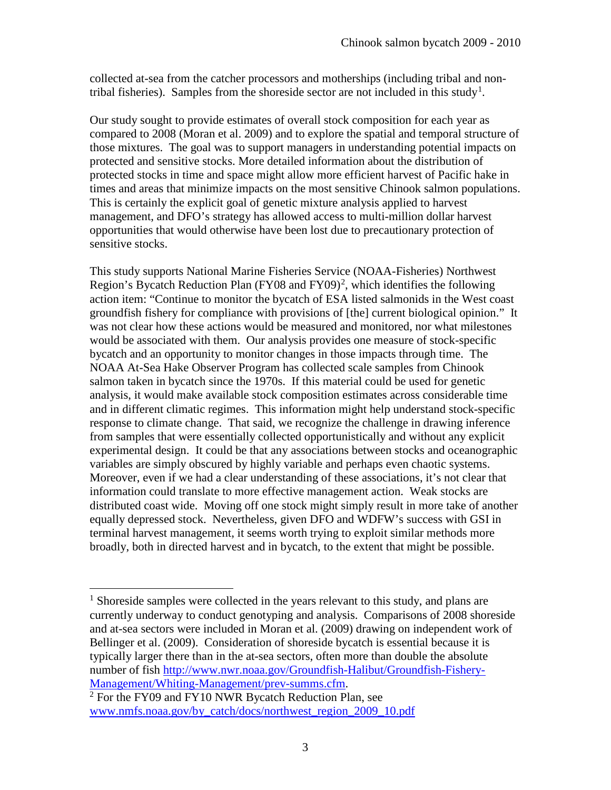collected at-sea from the catcher processors and motherships (including tribal and non-tribal fisheries). Samples from the shoreside sector are not included in this study<sup>[1](#page-2-0)</sup>.

Our study sought to provide estimates of overall stock composition for each year as compared to 2008 (Moran et al. 2009) and to explore the spatial and temporal structure of those mixtures. The goal was to support managers in understanding potential impacts on protected and sensitive stocks. More detailed information about the distribution of protected stocks in time and space might allow more efficient harvest of Pacific hake in times and areas that minimize impacts on the most sensitive Chinook salmon populations. This is certainly the explicit goal of genetic mixture analysis applied to harvest management, and DFO's strategy has allowed access to multi-million dollar harvest opportunities that would otherwise have been lost due to precautionary protection of sensitive stocks.

This study supports National Marine Fisheries Service (NOAA-Fisheries) Northwest Region's Bycatch Reduction Plan (FY08 and FY09)<sup>[2](#page-2-1)</sup>, which identifies the following action item: "Continue to monitor the bycatch of ESA listed salmonids in the West coast groundfish fishery for compliance with provisions of [the] current biological opinion." It was not clear how these actions would be measured and monitored, nor what milestones would be associated with them. Our analysis provides one measure of stock-specific bycatch and an opportunity to monitor changes in those impacts through time. The NOAA At-Sea Hake Observer Program has collected scale samples from Chinook salmon taken in bycatch since the 1970s. If this material could be used for genetic analysis, it would make available stock composition estimates across considerable time and in different climatic regimes. This information might help understand stock-specific response to climate change. That said, we recognize the challenge in drawing inference from samples that were essentially collected opportunistically and without any explicit experimental design. It could be that any associations between stocks and oceanographic variables are simply obscured by highly variable and perhaps even chaotic systems. Moreover, even if we had a clear understanding of these associations, it's not clear that information could translate to more effective management action. Weak stocks are distributed coast wide. Moving off one stock might simply result in more take of another equally depressed stock. Nevertheless, given DFO and WDFW's success with GSI in terminal harvest management, it seems worth trying to exploit similar methods more broadly, both in directed harvest and in bycatch, to the extent that might be possible.

 $\overline{a}$ 

<span id="page-2-0"></span><sup>&</sup>lt;sup>1</sup> Shoreside samples were collected in the years relevant to this study, and plans are currently underway to conduct genotyping and analysis. Comparisons of 2008 shoreside and at-sea sectors were included in Moran et al. (2009) drawing on independent work of Bellinger et al. (2009). Consideration of shoreside bycatch is essential because it is typically larger there than in the at-sea sectors, often more than double the absolute number of fish [http://www.nwr.noaa.gov/Groundfish-Halibut/Groundfish-Fishery-](http://www.nwr.noaa.gov/Groundfish-Halibut/Groundfish-Fishery-Management/Whiting-Management/prev-summs.cfm)[Management/Whiting-Management/prev-summs.cfm.](http://www.nwr.noaa.gov/Groundfish-Halibut/Groundfish-Fishery-Management/Whiting-Management/prev-summs.cfm)

<span id="page-2-1"></span> $2$  For the FY09 and FY10 NWR Bycatch Reduction Plan, see [www.nmfs.noaa.gov/by\\_catch/docs/northwest\\_region\\_2009\\_10.pdf](http://www.nmfs.noaa.gov/by_catch/docs/northwest_region_2009_10.pdf)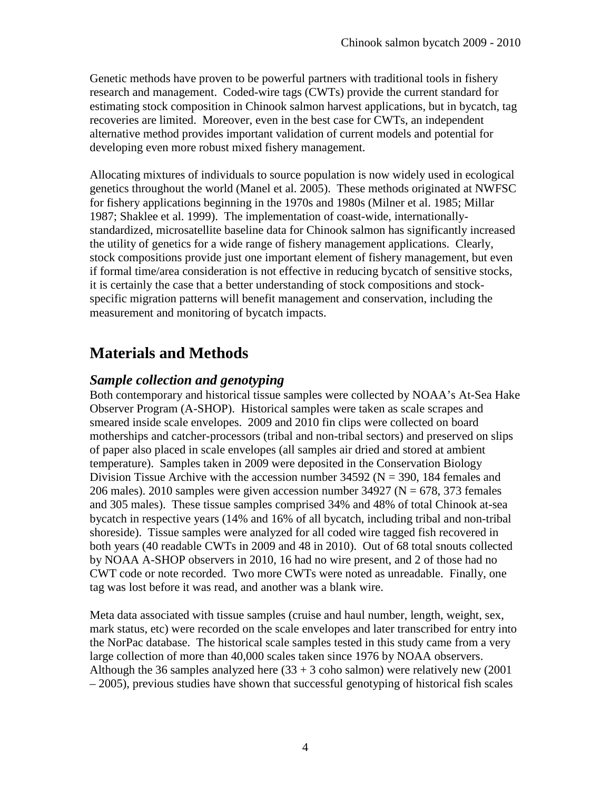Genetic methods have proven to be powerful partners with traditional tools in fishery research and management. Coded-wire tags (CWTs) provide the current standard for estimating stock composition in Chinook salmon harvest applications, but in bycatch, tag recoveries are limited. Moreover, even in the best case for CWTs, an independent alternative method provides important validation of current models and potential for developing even more robust mixed fishery management.

Allocating mixtures of individuals to source population is now widely used in ecological genetics throughout the world (Manel et al. 2005). These methods originated at NWFSC for fishery applications beginning in the 1970s and 1980s (Milner et al. 1985; Millar 1987; Shaklee et al. 1999). The implementation of coast-wide, internationallystandardized, microsatellite baseline data for Chinook salmon has significantly increased the utility of genetics for a wide range of fishery management applications. Clearly, stock compositions provide just one important element of fishery management, but even if formal time/area consideration is not effective in reducing bycatch of sensitive stocks, it is certainly the case that a better understanding of stock compositions and stockspecific migration patterns will benefit management and conservation, including the measurement and monitoring of bycatch impacts.

# **Materials and Methods**

#### *Sample collection and genotyping*

Both contemporary and historical tissue samples were collected by NOAA's At-Sea Hake Observer Program (A-SHOP). Historical samples were taken as scale scrapes and smeared inside scale envelopes. 2009 and 2010 fin clips were collected on board motherships and catcher-processors (tribal and non-tribal sectors) and preserved on slips of paper also placed in scale envelopes (all samples air dried and stored at ambient temperature). Samples taken in 2009 were deposited in the Conservation Biology Division Tissue Archive with the accession number 34592 ( $N = 390$ , 184 females and 206 males). 2010 samples were given accession number 34927 ( $N = 678$ , 373 females and 305 males). These tissue samples comprised 34% and 48% of total Chinook at-sea bycatch in respective years (14% and 16% of all bycatch, including tribal and non-tribal shoreside). Tissue samples were analyzed for all coded wire tagged fish recovered in both years (40 readable CWTs in 2009 and 48 in 2010). Out of 68 total snouts collected by NOAA A-SHOP observers in 2010, 16 had no wire present, and 2 of those had no CWT code or note recorded. Two more CWTs were noted as unreadable. Finally, one tag was lost before it was read, and another was a blank wire.

Meta data associated with tissue samples (cruise and haul number, length, weight, sex, mark status, etc) were recorded on the scale envelopes and later transcribed for entry into the NorPac database. The historical scale samples tested in this study came from a very large collection of more than 40,000 scales taken since 1976 by NOAA observers. Although the 36 samples analyzed here  $(33 + 3 \text{ coho salmon})$  were relatively new  $(2001$ – 2005), previous studies have shown that successful genotyping of historical fish scales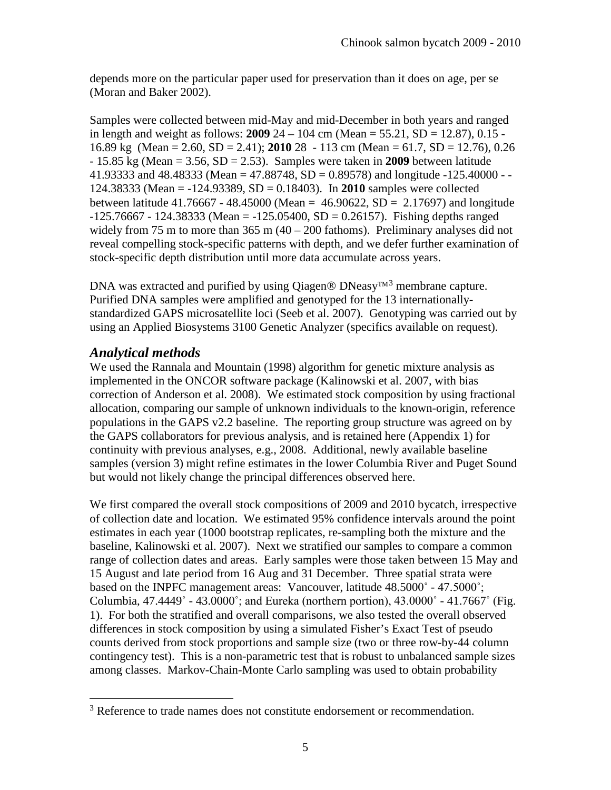depends more on the particular paper used for preservation than it does on age, per se (Moran and Baker 2002).

Samples were collected between mid-May and mid-December in both years and ranged in length and weight as follows: **2009** 24 – 104 cm (Mean =  $55.21$ , SD =  $12.87$ ), 0.15 -16.89 kg (Mean = 2.60, SD = 2.41); **2010** 28 - 113 cm (Mean = 61.7, SD = 12.76), 0.26 - 15.85 kg (Mean = 3.56, SD = 2.53). Samples were taken in **2009** between latitude 41.93333 and 48.48333 (Mean = 47.88748, SD = 0.89578) and longitude -125.40000 - -124.38333 (Mean = -124.93389, SD = 0.18403). In **2010** samples were collected between latitude 41.76667 - 48.45000 (Mean =  $46.90622$ , SD = 2.17697) and longitude  $-125.76667 - 124.38333$  (Mean =  $-125.05400$ , SD = 0.26157). Fishing depths ranged widely from 75 m to more than  $365$  m  $(40 - 200)$  fathoms). Preliminary analyses did not reveal compelling stock-specific patterns with depth, and we defer further examination of stock-specific depth distribution until more data accumulate across years.

DNA was extracted and purified by using Qiagen ® DNeasy<sup>TM[3](#page-4-0)</sup> membrane capture. Purified DNA samples were amplified and genotyped for the 13 internationallystandardized GAPS microsatellite loci (Seeb et al. 2007). Genotyping was carried out by using an Applied Biosystems 3100 Genetic Analyzer (specifics available on request).

### *Analytical methods*

 $\overline{a}$ 

We used the Rannala and Mountain (1998) algorithm for genetic mixture analysis as implemented in the ONCOR software package (Kalinowski et al. 2007, with bias correction of Anderson et al. 2008). We estimated stock composition by using fractional allocation, comparing our sample of unknown individuals to the known-origin, reference populations in the GAPS v2.2 baseline. The reporting group structure was agreed on by the GAPS collaborators for previous analysis, and is retained here (Appendix 1) for continuity with previous analyses, e.g., 2008. Additional, newly available baseline samples (version 3) might refine estimates in the lower Columbia River and Puget Sound but would not likely change the principal differences observed here.

We first compared the overall stock compositions of 2009 and 2010 bycatch, irrespective of collection date and location. We estimated 95% confidence intervals around the point estimates in each year (1000 bootstrap replicates, re-sampling both the mixture and the baseline, Kalinowski et al. 2007). Next we stratified our samples to compare a common range of collection dates and areas. Early samples were those taken between 15 May and 15 August and late period from 16 Aug and 31 December. Three spatial strata were based on the INPFC management areas: Vancouver, latitude 48.5000˚ - 47.5000˚; Columbia,  $47.4449° - 43.0000°$ ; and Eureka (northern portion),  $43.0000° - 41.7667°$  (Fig. 1). For both the stratified and overall comparisons, we also tested the overall observed differences in stock composition by using a simulated Fisher's Exact Test of pseudo counts derived from stock proportions and sample size (two or three row-by-44 column contingency test). This is a non-parametric test that is robust to unbalanced sample sizes among classes. Markov-Chain-Monte Carlo sampling was used to obtain probability

<span id="page-4-0"></span><sup>&</sup>lt;sup>3</sup> Reference to trade names does not constitute endorsement or recommendation.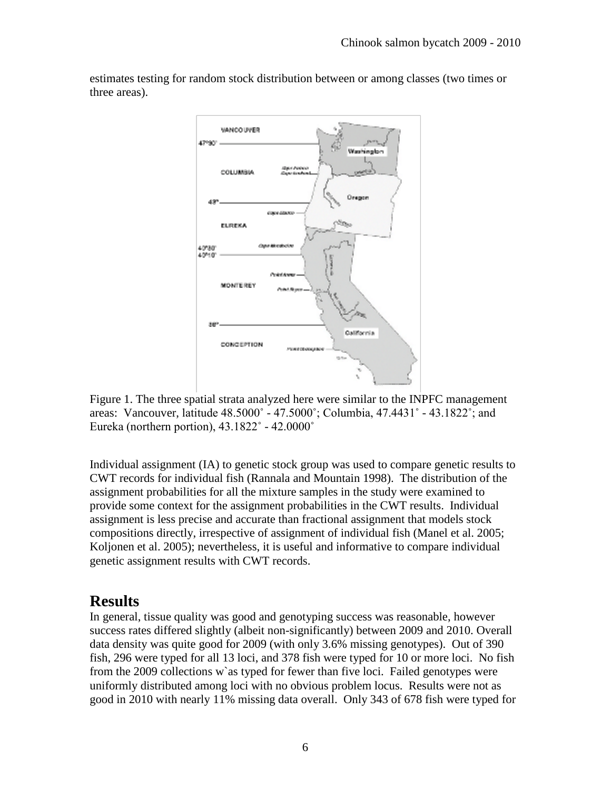estimates testing for random stock distribution between or among classes (two times or three areas).



Figure 1. The three spatial strata analyzed here were similar to the INPFC management areas: Vancouver, latitude 48.5000˚ - 47.5000˚; Columbia, 47.4431˚ - 43.1822˚; and Eureka (northern portion),  $43.1822^{\circ}$  -  $42.0000^{\circ}$ 

Individual assignment (IA) to genetic stock group was used to compare genetic results to CWT records for individual fish (Rannala and Mountain 1998). The distribution of the assignment probabilities for all the mixture samples in the study were examined to provide some context for the assignment probabilities in the CWT results. Individual assignment is less precise and accurate than fractional assignment that models stock compositions directly, irrespective of assignment of individual fish (Manel et al. 2005; Koljonen et al. 2005); nevertheless, it is useful and informative to compare individual genetic assignment results with CWT records.

## **Results**

In general, tissue quality was good and genotyping success was reasonable, however success rates differed slightly (albeit non-significantly) between 2009 and 2010. Overall data density was quite good for 2009 (with only 3.6% missing genotypes). Out of 390 fish, 296 were typed for all 13 loci, and 378 fish were typed for 10 or more loci. No fish from the 2009 collections w`as typed for fewer than five loci. Failed genotypes were uniformly distributed among loci with no obvious problem locus. Results were not as good in 2010 with nearly 11% missing data overall. Only 343 of 678 fish were typed for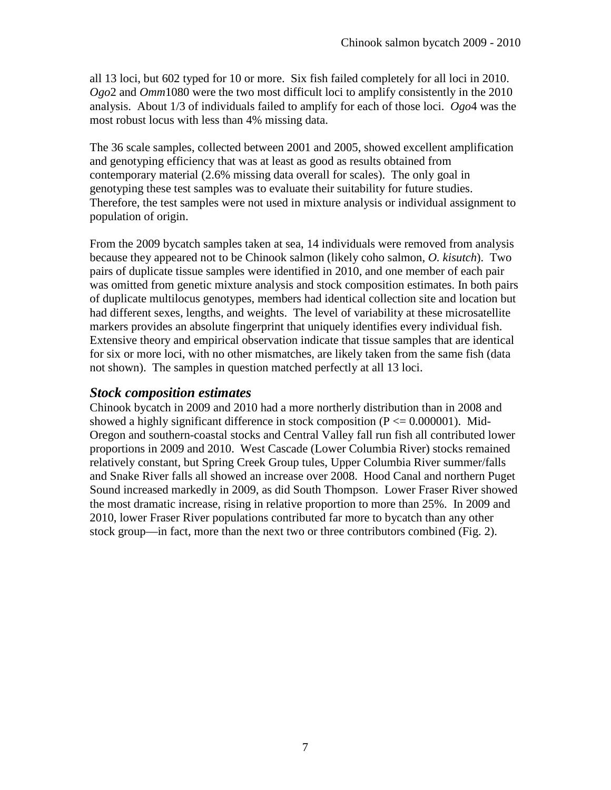all 13 loci, but 602 typed for 10 or more. Six fish failed completely for all loci in 2010. *Ogo*2 and *Omm*1080 were the two most difficult loci to amplify consistently in the 2010 analysis. About 1/3 of individuals failed to amplify for each of those loci. *Ogo*4 was the most robust locus with less than 4% missing data.

The 36 scale samples, collected between 2001 and 2005, showed excellent amplification and genotyping efficiency that was at least as good as results obtained from contemporary material (2.6% missing data overall for scales). The only goal in genotyping these test samples was to evaluate their suitability for future studies. Therefore, the test samples were not used in mixture analysis or individual assignment to population of origin.

From the 2009 bycatch samples taken at sea, 14 individuals were removed from analysis because they appeared not to be Chinook salmon (likely coho salmon, *O. kisutch*). Two pairs of duplicate tissue samples were identified in 2010, and one member of each pair was omitted from genetic mixture analysis and stock composition estimates. In both pairs of duplicate multilocus genotypes, members had identical collection site and location but had different sexes, lengths, and weights. The level of variability at these microsatellite markers provides an absolute fingerprint that uniquely identifies every individual fish. Extensive theory and empirical observation indicate that tissue samples that are identical for six or more loci, with no other mismatches, are likely taken from the same fish (data not shown). The samples in question matched perfectly at all 13 loci.

#### *Stock composition estimates*

Chinook bycatch in 2009 and 2010 had a more northerly distribution than in 2008 and showed a highly significant difference in stock composition ( $P \le 0.000001$ ). Mid-Oregon and southern-coastal stocks and Central Valley fall run fish all contributed lower proportions in 2009 and 2010. West Cascade (Lower Columbia River) stocks remained relatively constant, but Spring Creek Group tules, Upper Columbia River summer/falls and Snake River falls all showed an increase over 2008. Hood Canal and northern Puget Sound increased markedly in 2009, as did South Thompson. Lower Fraser River showed the most dramatic increase, rising in relative proportion to more than 25%. In 2009 and 2010, lower Fraser River populations contributed far more to bycatch than any other stock group—in fact, more than the next two or three contributors combined (Fig. 2).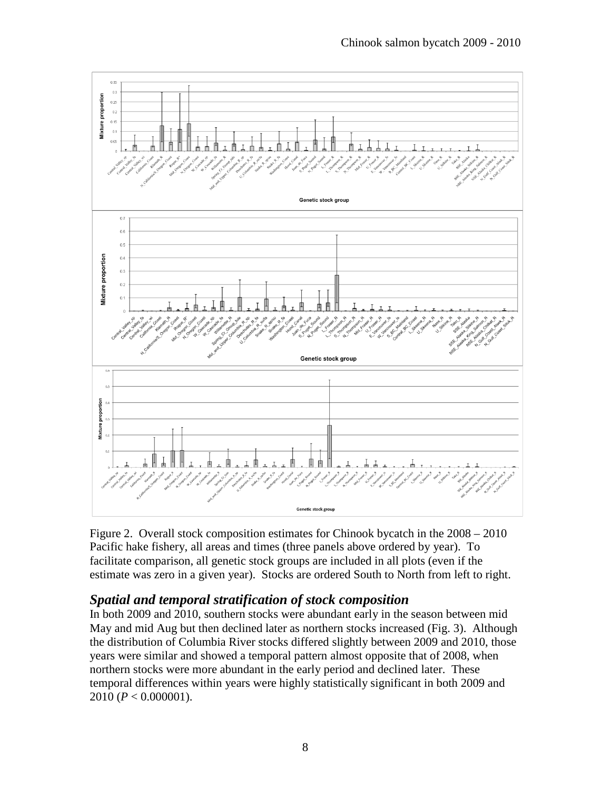Chinook salmon bycatch 2009 - 2010



Figure 2. Overall stock composition estimates for Chinook bycatch in the 2008 – 2010 Pacific hake fishery, all areas and times (three panels above ordered by year). To facilitate comparison, all genetic stock groups are included in all plots (even if the estimate was zero in a given year). Stocks are ordered South to North from left to right.

## *Spatial and temporal stratification of stock composition*

In both 2009 and 2010, southern stocks were abundant early in the season between mid May and mid Aug but then declined later as northern stocks increased (Fig. 3). Although the distribution of Columbia River stocks differed slightly between 2009 and 2010, those years were similar and showed a temporal pattern almost opposite that of 2008, when northern stocks were more abundant in the early period and declined later. These temporal differences within years were highly statistically significant in both 2009 and 2010 (*P* < 0.000001).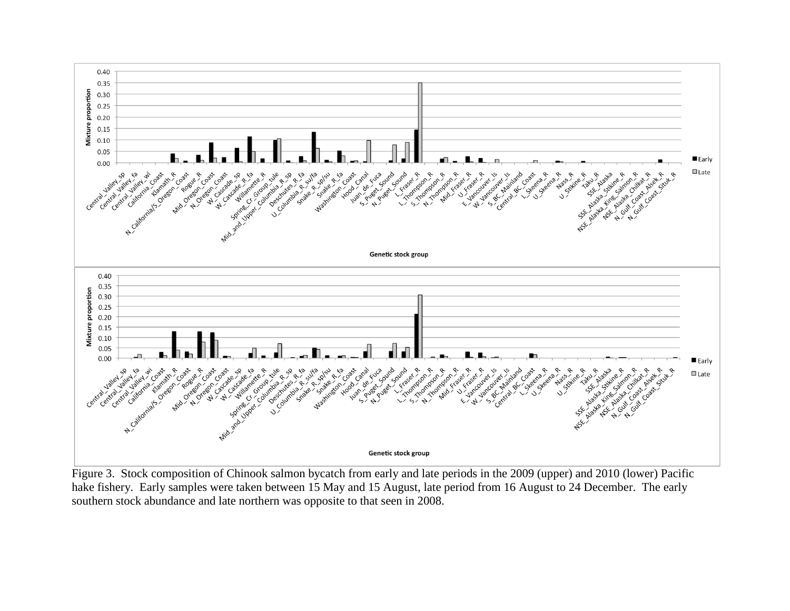

Figure 3. Stock composition of Chinook salmon bycatch from early and late periods in the 2009 (upper) and 2010 (lower) Pacific hake fishery. Early samples were taken between 15 May and 15 August, late period from 16 August to 24 December. The early southern stock abundance and late northern was opposite to that seen in 2008.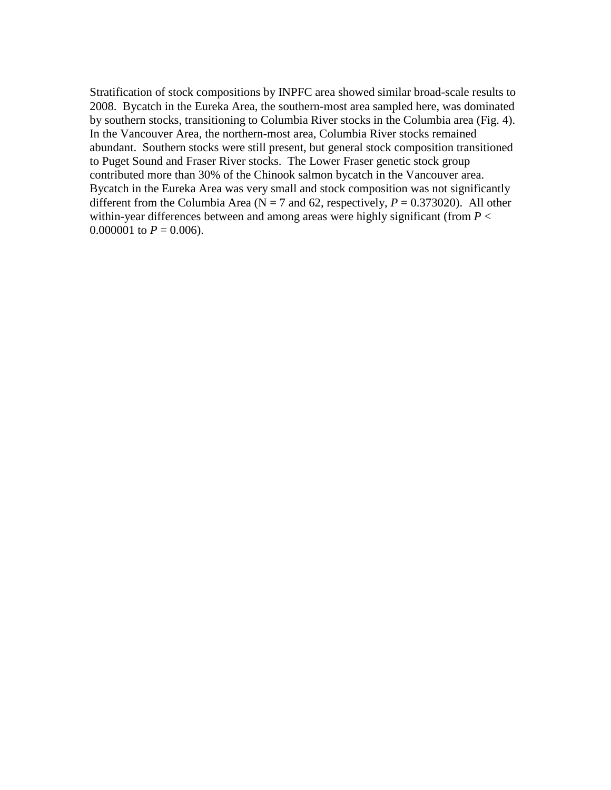Stratification of stock compositions by INPFC area showed similar broad-scale results to 2008. Bycatch in the Eureka Area, the southern-most area sampled here, was dominated by southern stocks, transitioning to Columbia River stocks in the Columbia area (Fig. 4). In the Vancouver Area, the northern-most area, Columbia River stocks remained abundant. Southern stocks were still present, but general stock composition transitioned to Puget Sound and Fraser River stocks. The Lower Fraser genetic stock group contributed more than 30% of the Chinook salmon bycatch in the Vancouver area. Bycatch in the Eureka Area was very small and stock composition was not significantly different from the Columbia Area ( $N = 7$  and 62, respectively,  $P = 0.373020$ ). All other within-year differences between and among areas were highly significant (from  $P \leq$ 0.000001 to  $P = 0.006$ ).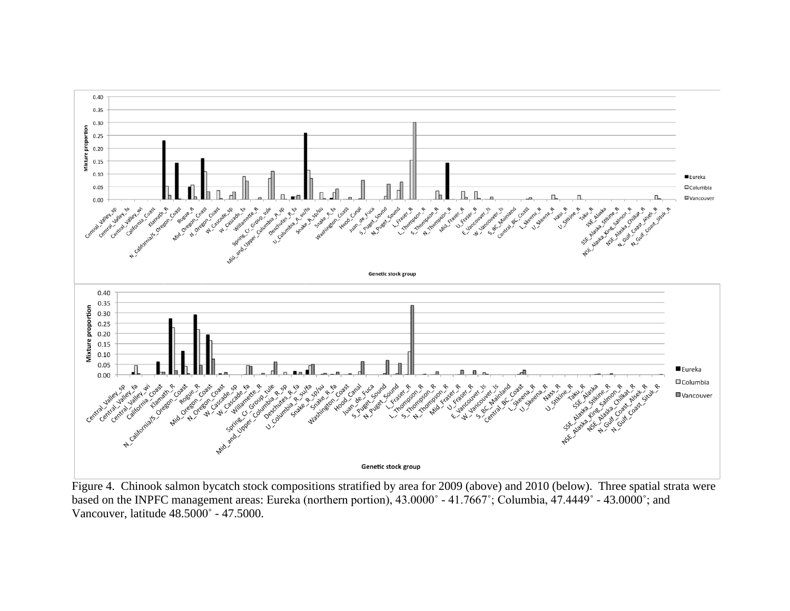

Figure 4. Chinook salmon bycatch stock compositions stratified by area for 2009 (above) and 2010 (below). Three spatial strata were based on the INPFC management areas: Eureka (northern portion), 43.0000˚ - 41.7667˚; Columbia, 47.4449˚ - 43.0000˚; and Vancouver, latitude 48.5000˚ - 47.5000.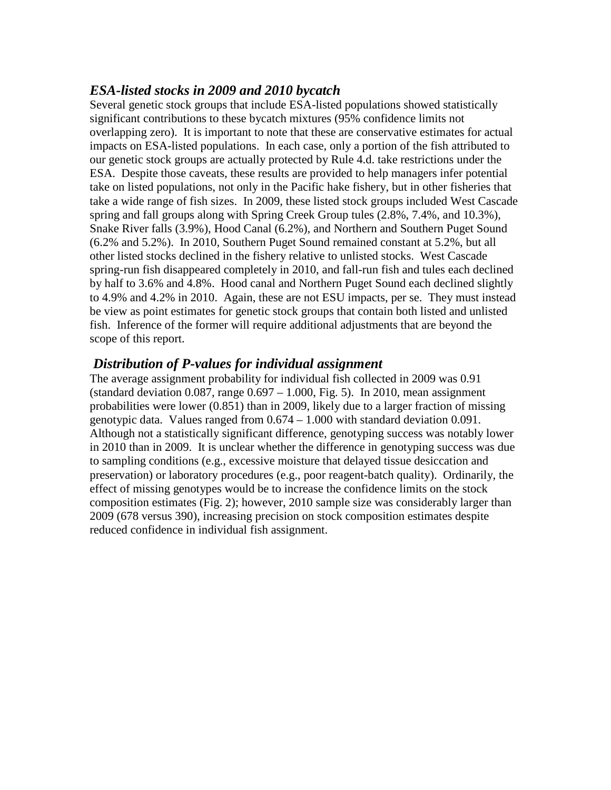#### *ESA-listed stocks in 2009 and 2010 bycatch*

Several genetic stock groups that include ESA-listed populations showed statistically significant contributions to these bycatch mixtures (95% confidence limits not overlapping zero). It is important to note that these are conservative estimates for actual impacts on ESA-listed populations. In each case, only a portion of the fish attributed to our genetic stock groups are actually protected by Rule 4.d. take restrictions under the ESA. Despite those caveats, these results are provided to help managers infer potential take on listed populations, not only in the Pacific hake fishery, but in other fisheries that take a wide range of fish sizes. In 2009, these listed stock groups included West Cascade spring and fall groups along with Spring Creek Group tules (2.8%, 7.4%, and 10.3%), Snake River falls (3.9%), Hood Canal (6.2%), and Northern and Southern Puget Sound (6.2% and 5.2%). In 2010, Southern Puget Sound remained constant at 5.2%, but all other listed stocks declined in the fishery relative to unlisted stocks. West Cascade spring-run fish disappeared completely in 2010, and fall-run fish and tules each declined by half to 3.6% and 4.8%. Hood canal and Northern Puget Sound each declined slightly to 4.9% and 4.2% in 2010. Again, these are not ESU impacts, per se. They must instead be view as point estimates for genetic stock groups that contain both listed and unlisted fish. Inference of the former will require additional adjustments that are beyond the scope of this report.

#### *Distribution of P-values for individual assignment*

The average assignment probability for individual fish collected in 2009 was 0.91 (standard deviation  $0.087$ , range  $0.697 - 1.000$ , Fig. 5). In 2010, mean assignment probabilities were lower (0.851) than in 2009, likely due to a larger fraction of missing genotypic data. Values ranged from  $0.674 - 1.000$  with standard deviation 0.091. Although not a statistically significant difference, genotyping success was notably lower in 2010 than in 2009. It is unclear whether the difference in genotyping success was due to sampling conditions (e.g., excessive moisture that delayed tissue desiccation and preservation) or laboratory procedures (e.g., poor reagent-batch quality). Ordinarily, the effect of missing genotypes would be to increase the confidence limits on the stock composition estimates (Fig. 2); however, 2010 sample size was considerably larger than 2009 (678 versus 390), increasing precision on stock composition estimates despite reduced confidence in individual fish assignment.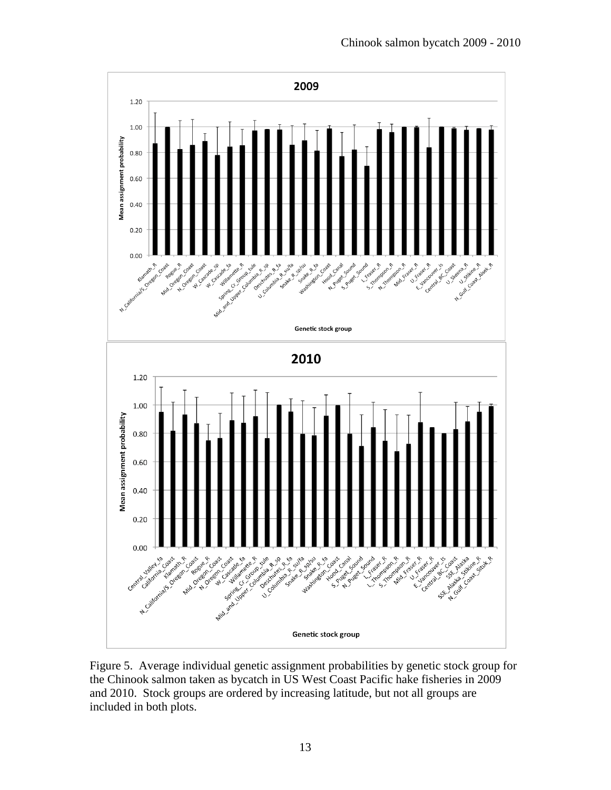

Figure 5. Average individual genetic assignment probabilities by genetic stock group for the Chinook salmon taken as bycatch in US West Coast Pacific hake fisheries in 2009 and 2010. Stock groups are ordered by increasing latitude, but not all groups are included in both plots.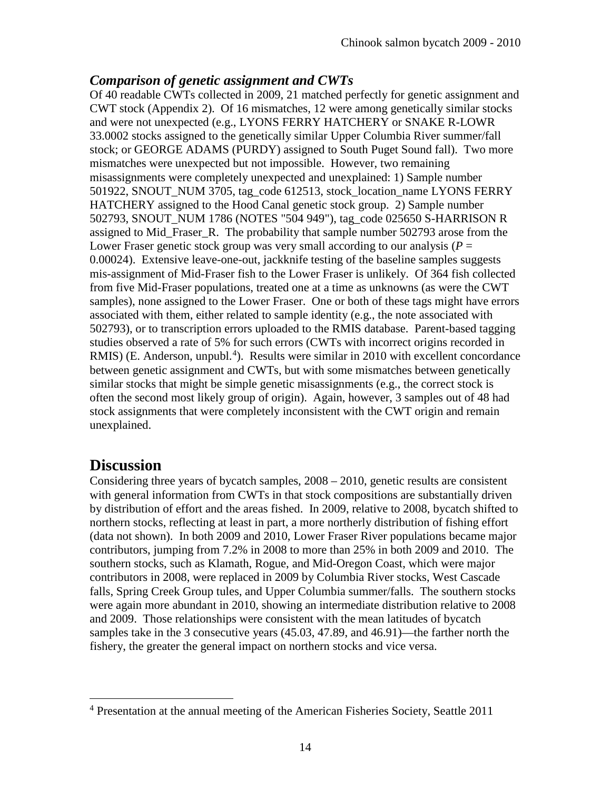#### *Comparison of genetic assignment and CWTs*

Of 40 readable CWTs collected in 2009, 21 matched perfectly for genetic assignment and CWT stock (Appendix 2). Of 16 mismatches, 12 were among genetically similar stocks and were not unexpected (e.g., LYONS FERRY HATCHERY or SNAKE R-LOWR 33.0002 stocks assigned to the genetically similar Upper Columbia River summer/fall stock; or GEORGE ADAMS (PURDY) assigned to South Puget Sound fall). Two more mismatches were unexpected but not impossible. However, two remaining misassignments were completely unexpected and unexplained: 1) Sample number 501922, SNOUT\_NUM 3705, tag\_code 612513, stock\_location\_name LYONS FERRY HATCHERY assigned to the Hood Canal genetic stock group. 2) Sample number 502793, SNOUT\_NUM 1786 (NOTES "504 949"), tag\_code 025650 S-HARRISON R assigned to Mid\_Fraser\_R. The probability that sample number 502793 arose from the Lower Fraser genetic stock group was very small according to our analysis ( $P =$ 0.00024). Extensive leave-one-out, jackknife testing of the baseline samples suggests mis-assignment of Mid-Fraser fish to the Lower Fraser is unlikely. Of 364 fish collected from five Mid-Fraser populations, treated one at a time as unknowns (as were the CWT samples), none assigned to the Lower Fraser. One or both of these tags might have errors associated with them, either related to sample identity (e.g., the note associated with 502793), or to transcription errors uploaded to the RMIS database. Parent-based tagging studies observed a rate of 5% for such errors (CWTs with incorrect origins recorded in RMIS) (E. Anderson, unpubl.<sup>[4](#page-13-0)</sup>). Results were similar in 2010 with excellent concordance between genetic assignment and CWTs, but with some mismatches between genetically similar stocks that might be simple genetic misassignments (e.g., the correct stock is often the second most likely group of origin). Again, however, 3 samples out of 48 had stock assignments that were completely inconsistent with the CWT origin and remain unexplained.

## **Discussion**

Considering three years of bycatch samples,  $2008 - 2010$ , genetic results are consistent with general information from CWTs in that stock compositions are substantially driven by distribution of effort and the areas fished. In 2009, relative to 2008, bycatch shifted to northern stocks, reflecting at least in part, a more northerly distribution of fishing effort (data not shown). In both 2009 and 2010, Lower Fraser River populations became major contributors, jumping from 7.2% in 2008 to more than 25% in both 2009 and 2010. The southern stocks, such as Klamath, Rogue, and Mid-Oregon Coast, which were major contributors in 2008, were replaced in 2009 by Columbia River stocks, West Cascade falls, Spring Creek Group tules, and Upper Columbia summer/falls. The southern stocks were again more abundant in 2010, showing an intermediate distribution relative to 2008 and 2009. Those relationships were consistent with the mean latitudes of bycatch samples take in the 3 consecutive years (45.03, 47.89, and 46.91)—the farther north the fishery, the greater the general impact on northern stocks and vice versa.

<span id="page-13-0"></span><sup>4</sup> Presentation at the annual meeting of the American Fisheries Society, Seattle 2011  $\overline{a}$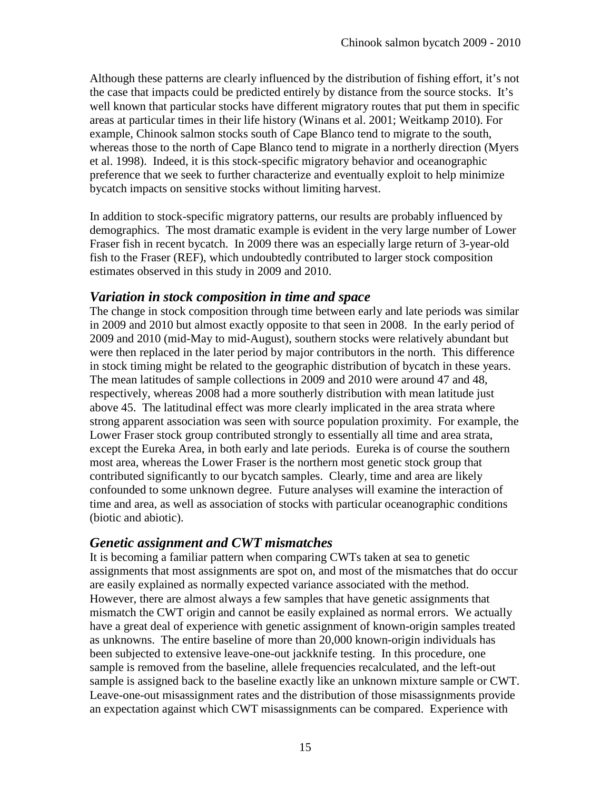Although these patterns are clearly influenced by the distribution of fishing effort, it's not the case that impacts could be predicted entirely by distance from the source stocks. It's well known that particular stocks have different migratory routes that put them in specific areas at particular times in their life history (Winans et al. 2001; Weitkamp 2010). For example, Chinook salmon stocks south of Cape Blanco tend to migrate to the south, whereas those to the north of Cape Blanco tend to migrate in a northerly direction (Myers et al. 1998). Indeed, it is this stock-specific migratory behavior and oceanographic preference that we seek to further characterize and eventually exploit to help minimize bycatch impacts on sensitive stocks without limiting harvest.

In addition to stock-specific migratory patterns, our results are probably influenced by demographics. The most dramatic example is evident in the very large number of Lower Fraser fish in recent bycatch. In 2009 there was an especially large return of 3-year-old fish to the Fraser (REF), which undoubtedly contributed to larger stock composition estimates observed in this study in 2009 and 2010.

#### *Variation in stock composition in time and space*

The change in stock composition through time between early and late periods was similar in 2009 and 2010 but almost exactly opposite to that seen in 2008. In the early period of 2009 and 2010 (mid-May to mid-August), southern stocks were relatively abundant but were then replaced in the later period by major contributors in the north. This difference in stock timing might be related to the geographic distribution of bycatch in these years. The mean latitudes of sample collections in 2009 and 2010 were around 47 and 48, respectively, whereas 2008 had a more southerly distribution with mean latitude just above 45. The latitudinal effect was more clearly implicated in the area strata where strong apparent association was seen with source population proximity. For example, the Lower Fraser stock group contributed strongly to essentially all time and area strata, except the Eureka Area, in both early and late periods. Eureka is of course the southern most area, whereas the Lower Fraser is the northern most genetic stock group that contributed significantly to our bycatch samples. Clearly, time and area are likely confounded to some unknown degree. Future analyses will examine the interaction of time and area, as well as association of stocks with particular oceanographic conditions (biotic and abiotic).

#### *Genetic assignment and CWT mismatches*

It is becoming a familiar pattern when comparing CWTs taken at sea to genetic assignments that most assignments are spot on, and most of the mismatches that do occur are easily explained as normally expected variance associated with the method. However, there are almost always a few samples that have genetic assignments that mismatch the CWT origin and cannot be easily explained as normal errors. We actually have a great deal of experience with genetic assignment of known-origin samples treated as unknowns. The entire baseline of more than 20,000 known-origin individuals has been subjected to extensive leave-one-out jackknife testing. In this procedure, one sample is removed from the baseline, allele frequencies recalculated, and the left-out sample is assigned back to the baseline exactly like an unknown mixture sample or CWT. Leave-one-out misassignment rates and the distribution of those misassignments provide an expectation against which CWT misassignments can be compared. Experience with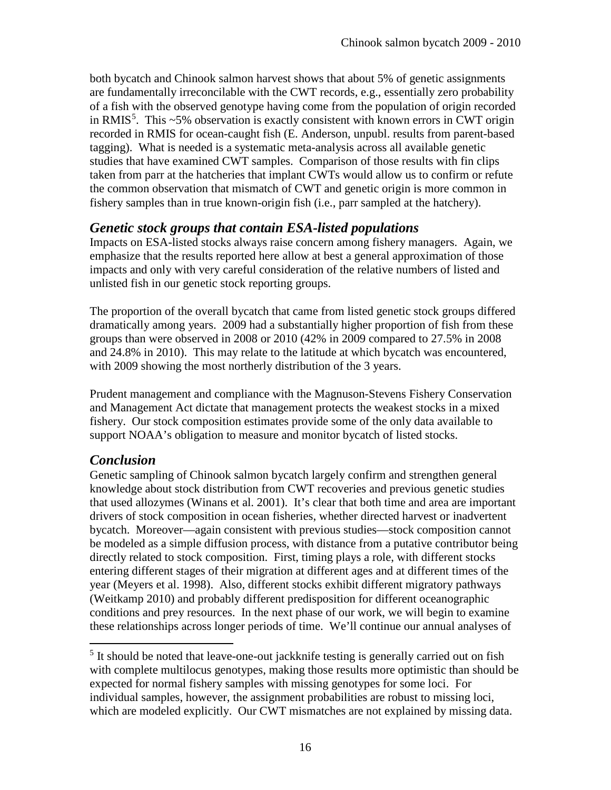both bycatch and Chinook salmon harvest shows that about 5% of genetic assignments are fundamentally irreconcilable with the CWT records, e.g., essentially zero probability of a fish with the observed genotype having come from the population of origin recorded in RMIS<sup>[5](#page-15-0)</sup>. This  $\sim$ 5% observation is exactly consistent with known errors in CWT origin recorded in RMIS for ocean-caught fish (E. Anderson, unpubl. results from parent-based tagging). What is needed is a systematic meta-analysis across all available genetic studies that have examined CWT samples. Comparison of those results with fin clips taken from parr at the hatcheries that implant CWTs would allow us to confirm or refute the common observation that mismatch of CWT and genetic origin is more common in fishery samples than in true known-origin fish (i.e., parr sampled at the hatchery).

#### *Genetic stock groups that contain ESA-listed populations*

Impacts on ESA-listed stocks always raise concern among fishery managers. Again, we emphasize that the results reported here allow at best a general approximation of those impacts and only with very careful consideration of the relative numbers of listed and unlisted fish in our genetic stock reporting groups.

The proportion of the overall bycatch that came from listed genetic stock groups differed dramatically among years. 2009 had a substantially higher proportion of fish from these groups than were observed in 2008 or 2010 (42% in 2009 compared to 27.5% in 2008 and 24.8% in 2010). This may relate to the latitude at which bycatch was encountered, with 2009 showing the most northerly distribution of the 3 years.

Prudent management and compliance with the Magnuson-Stevens Fishery Conservation and Management Act dictate that management protects the weakest stocks in a mixed fishery. Our stock composition estimates provide some of the only data available to support NOAA's obligation to measure and monitor bycatch of listed stocks.

#### *Conclusion*

 $\overline{a}$ 

Genetic sampling of Chinook salmon bycatch largely confirm and strengthen general knowledge about stock distribution from CWT recoveries and previous genetic studies that used allozymes (Winans et al. 2001). It's clear that both time and area are important drivers of stock composition in ocean fisheries, whether directed harvest or inadvertent bycatch. Moreover—again consistent with previous studies—stock composition cannot be modeled as a simple diffusion process, with distance from a putative contributor being directly related to stock composition. First, timing plays a role, with different stocks entering different stages of their migration at different ages and at different times of the year (Meyers et al. 1998). Also, different stocks exhibit different migratory pathways (Weitkamp 2010) and probably different predisposition for different oceanographic conditions and prey resources. In the next phase of our work, we will begin to examine these relationships across longer periods of time. We'll continue our annual analyses of

<span id="page-15-0"></span><sup>5</sup> It should be noted that leave-one-out jackknife testing is generally carried out on fish with complete multilocus genotypes, making those results more optimistic than should be expected for normal fishery samples with missing genotypes for some loci. For individual samples, however, the assignment probabilities are robust to missing loci, which are modeled explicitly. Our CWT mismatches are not explained by missing data.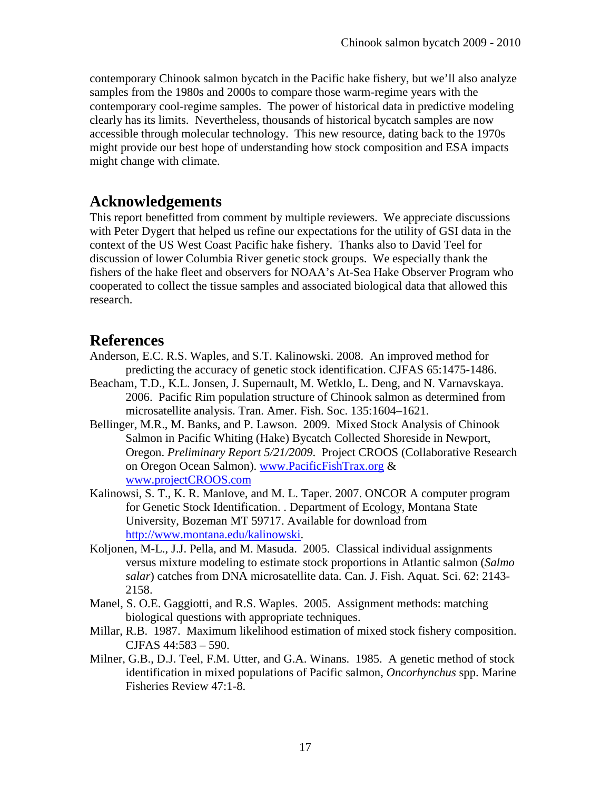contemporary Chinook salmon bycatch in the Pacific hake fishery, but we'll also analyze samples from the 1980s and 2000s to compare those warm-regime years with the contemporary cool-regime samples. The power of historical data in predictive modeling clearly has its limits. Nevertheless, thousands of historical bycatch samples are now accessible through molecular technology. This new resource, dating back to the 1970s might provide our best hope of understanding how stock composition and ESA impacts might change with climate.

## **Acknowledgements**

This report benefitted from comment by multiple reviewers. We appreciate discussions with Peter Dygert that helped us refine our expectations for the utility of GSI data in the context of the US West Coast Pacific hake fishery. Thanks also to David Teel for discussion of lower Columbia River genetic stock groups. We especially thank the fishers of the hake fleet and observers for NOAA's At-Sea Hake Observer Program who cooperated to collect the tissue samples and associated biological data that allowed this research.

## **References**

- Anderson, E.C. R.S. Waples, and S.T. Kalinowski. 2008. An improved method for predicting the accuracy of genetic stock identification. CJFAS 65:1475-1486.
- Beacham, T.D., K.L. Jonsen, J. Supernault, M. Wetklo, L. Deng, and N. Varnavskaya. 2006. Pacific Rim population structure of Chinook salmon as determined from microsatellite analysis. Tran. Amer. Fish. Soc. 135:1604–1621.
- Bellinger, M.R., M. Banks, and P. Lawson. 2009. Mixed Stock Analysis of Chinook Salmon in Pacific Whiting (Hake) Bycatch Collected Shoreside in Newport, Oregon. *Preliminary Report 5/21/2009*. Project CROOS (Collaborative Research on Oregon Ocean Salmon). [www.PacificFishTrax.org](http://www.pacificfishtrax.org/) & [www.projectCROOS.com](http://www.projectcroos.com/)
- Kalinowsi, S. T., K. R. Manlove, and M. L. Taper. 2007. ONCOR A computer program for Genetic Stock Identification. . Department of Ecology, Montana State University, Bozeman MT 59717. Available for download from [http://www.montana.edu/kalinowski.](http://www.montana.edu/kalinowski)
- Koljonen, M-L., J.J. Pella, and M. Masuda. 2005. Classical individual assignments versus mixture modeling to estimate stock proportions in Atlantic salmon (*Salmo salar*) catches from DNA microsatellite data. Can. J. Fish. Aquat. Sci. 62: 2143- 2158.
- Manel, S. O.E. Gaggiotti, and R.S. Waples. 2005. Assignment methods: matching biological questions with appropriate techniques.
- Millar, R.B. 1987. Maximum likelihood estimation of mixed stock fishery composition. CJFAS 44:583 – 590.
- Milner, G.B., D.J. Teel, F.M. Utter, and G.A. Winans. 1985. A genetic method of stock identification in mixed populations of Pacific salmon, *Oncorhynchus* spp. Marine Fisheries Review 47:1-8.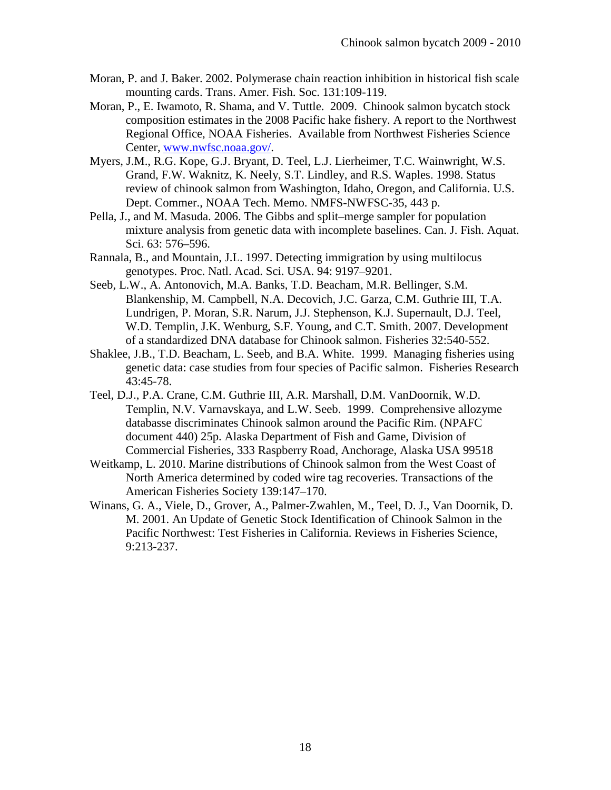- Moran, P. and J. Baker. 2002. Polymerase chain reaction inhibition in historical fish scale mounting cards. Trans. Amer. Fish. Soc. 131:109-119.
- Moran, P., E. Iwamoto, R. Shama, and V. Tuttle. 2009. Chinook salmon bycatch stock composition estimates in the 2008 Pacific hake fishery. A report to the Northwest Regional Office, NOAA Fisheries. Available from Northwest Fisheries Science Center, [www.nwfsc.noaa.gov/.](http://www.nwfsc.noaa.gov/)
- Myers, J.M., R.G. Kope, G.J. Bryant, D. Teel, L.J. Lierheimer, T.C. Wainwright, W.S. Grand, F.W. Waknitz, K. Neely, S.T. Lindley, and R.S. Waples. 1998. Status review of chinook salmon from Washington, Idaho, Oregon, and California. U.S. Dept. Commer., NOAA Tech. Memo. NMFS-NWFSC-35, 443 p.
- Pella, J., and M. Masuda. 2006. The Gibbs and split–merge sampler for population mixture analysis from genetic data with incomplete baselines. Can. J. Fish. Aquat. Sci. 63: 576–596.
- Rannala, B., and Mountain, J.L. 1997. Detecting immigration by using multilocus genotypes. Proc. Natl. Acad. Sci. USA. 94: 9197–9201.
- Seeb, L.W., A. Antonovich, M.A. Banks, T.D. Beacham, M.R. Bellinger, S.M. Blankenship, M. Campbell, N.A. Decovich, J.C. Garza, C.M. Guthrie III, T.A. Lundrigen, P. Moran, S.R. Narum, J.J. Stephenson, K.J. Supernault, D.J. Teel, W.D. Templin, J.K. Wenburg, S.F. Young, and C.T. Smith. 2007. Development of a standardized DNA database for Chinook salmon. Fisheries 32:540-552.
- Shaklee, J.B., T.D. Beacham, L. Seeb, and B.A. White. 1999. Managing fisheries using genetic data: case studies from four species of Pacific salmon. Fisheries Research 43:45-78.
- Teel, D.J., P.A. Crane, C.M. Guthrie III, A.R. Marshall, D.M. VanDoornik, W.D. Templin, N.V. Varnavskaya, and L.W. Seeb. 1999. Comprehensive allozyme databasse discriminates Chinook salmon around the Pacific Rim. (NPAFC document 440) 25p. Alaska Department of Fish and Game, Division of Commercial Fisheries, 333 Raspberry Road, Anchorage, Alaska USA 99518
- Weitkamp, L. 2010. Marine distributions of Chinook salmon from the West Coast of North America determined by coded wire tag recoveries. Transactions of the American Fisheries Society 139:147–170.
- Winans, G. A., Viele, D., Grover, A., Palmer-Zwahlen, M., Teel, D. J., Van Doornik, D. M. 2001. An Update of Genetic Stock Identification of Chinook Salmon in the Pacific Northwest: Test Fisheries in California. Reviews in Fisheries Science, 9:213-237.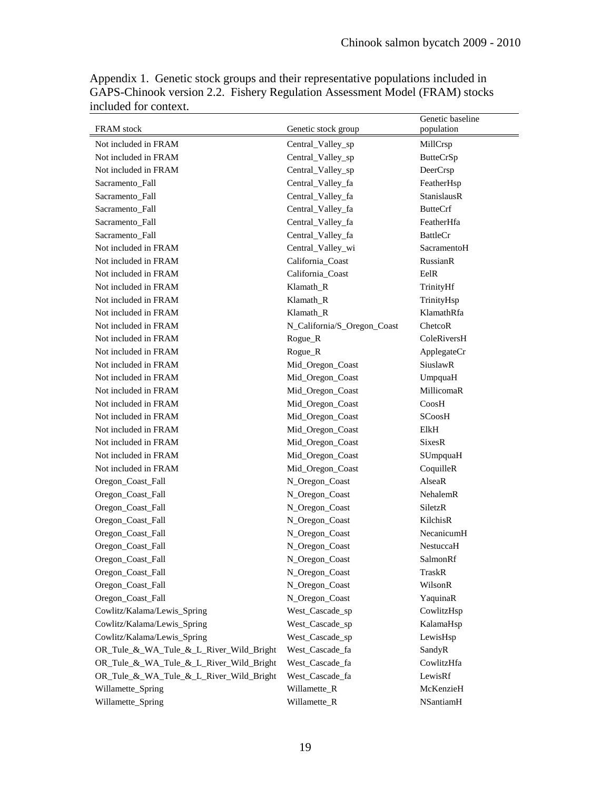| <b>FRAM</b> stock<br>Genetic stock group<br>population<br>Not included in FRAM<br>Central_Valley_sp<br>MillCrsp<br>Not included in FRAM<br><b>ButteCrSp</b><br>Central_Valley_sp<br>Not included in FRAM<br>Central_Valley_sp<br>DeerCrsp<br>Central_Valley_fa<br>FeatherHsp<br>Sacramento_Fall<br>Central_Valley_fa<br><b>StanislausR</b><br>Sacramento_Fall<br>Sacramento Fall<br>Central_Valley_fa<br><b>ButteCrf</b><br>Sacramento Fall<br>Central_Valley_fa<br>FeatherHfa<br>Sacramento_Fall<br>Central_Valley_fa<br><b>BattleCr</b><br>Not included in FRAM<br>Central_Valley_wi<br>SacramentoH<br>Not included in FRAM<br>California_Coast<br><b>RussianR</b><br>Not included in FRAM<br>California_Coast<br>EelR<br>Not included in FRAM<br>Klamath_R<br>TrinityHf<br>Not included in FRAM<br>Klamath_R<br>TrinityHsp<br>KlamathRfa<br>Not included in FRAM<br>Klamath R<br>Not included in FRAM<br>N_California/S_Oregon_Coast<br>ChetcoR<br>Not included in FRAM<br>Rogue_R<br>ColeRiversH<br>Not included in FRAM<br>Rogue_R<br>ApplegateCr<br>Not included in FRAM<br>Mid_Oregon_Coast<br>SiuslawR<br>Not included in FRAM<br>Mid_Oregon_Coast<br>UmpquaH<br>Not included in FRAM<br>MillicomaR<br>Mid_Oregon_Coast<br>Mid_Oregon_Coast<br>Not included in FRAM<br>CoosH<br>Not included in FRAM<br>Mid_Oregon_Coast<br><b>SCoosH</b><br>Not included in FRAM<br>Mid_Oregon_Coast<br>ElkH<br>Not included in FRAM<br>Mid_Oregon_Coast<br><b>SixesR</b><br>Not included in FRAM<br>Mid_Oregon_Coast<br>SUmpquaH<br>Not included in FRAM<br>Mid_Oregon_Coast<br>CoquilleR<br>AlseaR<br>Oregon_Coast_Fall<br>N_Oregon_Coast<br>Oregon_Coast_Fall<br>N_Oregon_Coast<br>NehalemR<br>N_Oregon_Coast<br>SiletzR<br>Oregon_Coast_Fall<br>Oregon_Coast_Fall<br>N_Oregon_Coast<br>KilchisR<br>Oregon_Coast_Fall<br>N_Oregon_Coast<br>NecanicumH |
|---------------------------------------------------------------------------------------------------------------------------------------------------------------------------------------------------------------------------------------------------------------------------------------------------------------------------------------------------------------------------------------------------------------------------------------------------------------------------------------------------------------------------------------------------------------------------------------------------------------------------------------------------------------------------------------------------------------------------------------------------------------------------------------------------------------------------------------------------------------------------------------------------------------------------------------------------------------------------------------------------------------------------------------------------------------------------------------------------------------------------------------------------------------------------------------------------------------------------------------------------------------------------------------------------------------------------------------------------------------------------------------------------------------------------------------------------------------------------------------------------------------------------------------------------------------------------------------------------------------------------------------------------------------------------------------------------------------------------------------------------------------------------------------------------------------------------------------------------|
|                                                                                                                                                                                                                                                                                                                                                                                                                                                                                                                                                                                                                                                                                                                                                                                                                                                                                                                                                                                                                                                                                                                                                                                                                                                                                                                                                                                                                                                                                                                                                                                                                                                                                                                                                                                                                                                   |
|                                                                                                                                                                                                                                                                                                                                                                                                                                                                                                                                                                                                                                                                                                                                                                                                                                                                                                                                                                                                                                                                                                                                                                                                                                                                                                                                                                                                                                                                                                                                                                                                                                                                                                                                                                                                                                                   |
|                                                                                                                                                                                                                                                                                                                                                                                                                                                                                                                                                                                                                                                                                                                                                                                                                                                                                                                                                                                                                                                                                                                                                                                                                                                                                                                                                                                                                                                                                                                                                                                                                                                                                                                                                                                                                                                   |
|                                                                                                                                                                                                                                                                                                                                                                                                                                                                                                                                                                                                                                                                                                                                                                                                                                                                                                                                                                                                                                                                                                                                                                                                                                                                                                                                                                                                                                                                                                                                                                                                                                                                                                                                                                                                                                                   |
|                                                                                                                                                                                                                                                                                                                                                                                                                                                                                                                                                                                                                                                                                                                                                                                                                                                                                                                                                                                                                                                                                                                                                                                                                                                                                                                                                                                                                                                                                                                                                                                                                                                                                                                                                                                                                                                   |
|                                                                                                                                                                                                                                                                                                                                                                                                                                                                                                                                                                                                                                                                                                                                                                                                                                                                                                                                                                                                                                                                                                                                                                                                                                                                                                                                                                                                                                                                                                                                                                                                                                                                                                                                                                                                                                                   |
|                                                                                                                                                                                                                                                                                                                                                                                                                                                                                                                                                                                                                                                                                                                                                                                                                                                                                                                                                                                                                                                                                                                                                                                                                                                                                                                                                                                                                                                                                                                                                                                                                                                                                                                                                                                                                                                   |
|                                                                                                                                                                                                                                                                                                                                                                                                                                                                                                                                                                                                                                                                                                                                                                                                                                                                                                                                                                                                                                                                                                                                                                                                                                                                                                                                                                                                                                                                                                                                                                                                                                                                                                                                                                                                                                                   |
|                                                                                                                                                                                                                                                                                                                                                                                                                                                                                                                                                                                                                                                                                                                                                                                                                                                                                                                                                                                                                                                                                                                                                                                                                                                                                                                                                                                                                                                                                                                                                                                                                                                                                                                                                                                                                                                   |
|                                                                                                                                                                                                                                                                                                                                                                                                                                                                                                                                                                                                                                                                                                                                                                                                                                                                                                                                                                                                                                                                                                                                                                                                                                                                                                                                                                                                                                                                                                                                                                                                                                                                                                                                                                                                                                                   |
|                                                                                                                                                                                                                                                                                                                                                                                                                                                                                                                                                                                                                                                                                                                                                                                                                                                                                                                                                                                                                                                                                                                                                                                                                                                                                                                                                                                                                                                                                                                                                                                                                                                                                                                                                                                                                                                   |
|                                                                                                                                                                                                                                                                                                                                                                                                                                                                                                                                                                                                                                                                                                                                                                                                                                                                                                                                                                                                                                                                                                                                                                                                                                                                                                                                                                                                                                                                                                                                                                                                                                                                                                                                                                                                                                                   |
|                                                                                                                                                                                                                                                                                                                                                                                                                                                                                                                                                                                                                                                                                                                                                                                                                                                                                                                                                                                                                                                                                                                                                                                                                                                                                                                                                                                                                                                                                                                                                                                                                                                                                                                                                                                                                                                   |
|                                                                                                                                                                                                                                                                                                                                                                                                                                                                                                                                                                                                                                                                                                                                                                                                                                                                                                                                                                                                                                                                                                                                                                                                                                                                                                                                                                                                                                                                                                                                                                                                                                                                                                                                                                                                                                                   |
|                                                                                                                                                                                                                                                                                                                                                                                                                                                                                                                                                                                                                                                                                                                                                                                                                                                                                                                                                                                                                                                                                                                                                                                                                                                                                                                                                                                                                                                                                                                                                                                                                                                                                                                                                                                                                                                   |
|                                                                                                                                                                                                                                                                                                                                                                                                                                                                                                                                                                                                                                                                                                                                                                                                                                                                                                                                                                                                                                                                                                                                                                                                                                                                                                                                                                                                                                                                                                                                                                                                                                                                                                                                                                                                                                                   |
|                                                                                                                                                                                                                                                                                                                                                                                                                                                                                                                                                                                                                                                                                                                                                                                                                                                                                                                                                                                                                                                                                                                                                                                                                                                                                                                                                                                                                                                                                                                                                                                                                                                                                                                                                                                                                                                   |
|                                                                                                                                                                                                                                                                                                                                                                                                                                                                                                                                                                                                                                                                                                                                                                                                                                                                                                                                                                                                                                                                                                                                                                                                                                                                                                                                                                                                                                                                                                                                                                                                                                                                                                                                                                                                                                                   |
|                                                                                                                                                                                                                                                                                                                                                                                                                                                                                                                                                                                                                                                                                                                                                                                                                                                                                                                                                                                                                                                                                                                                                                                                                                                                                                                                                                                                                                                                                                                                                                                                                                                                                                                                                                                                                                                   |
|                                                                                                                                                                                                                                                                                                                                                                                                                                                                                                                                                                                                                                                                                                                                                                                                                                                                                                                                                                                                                                                                                                                                                                                                                                                                                                                                                                                                                                                                                                                                                                                                                                                                                                                                                                                                                                                   |
|                                                                                                                                                                                                                                                                                                                                                                                                                                                                                                                                                                                                                                                                                                                                                                                                                                                                                                                                                                                                                                                                                                                                                                                                                                                                                                                                                                                                                                                                                                                                                                                                                                                                                                                                                                                                                                                   |
|                                                                                                                                                                                                                                                                                                                                                                                                                                                                                                                                                                                                                                                                                                                                                                                                                                                                                                                                                                                                                                                                                                                                                                                                                                                                                                                                                                                                                                                                                                                                                                                                                                                                                                                                                                                                                                                   |
|                                                                                                                                                                                                                                                                                                                                                                                                                                                                                                                                                                                                                                                                                                                                                                                                                                                                                                                                                                                                                                                                                                                                                                                                                                                                                                                                                                                                                                                                                                                                                                                                                                                                                                                                                                                                                                                   |
|                                                                                                                                                                                                                                                                                                                                                                                                                                                                                                                                                                                                                                                                                                                                                                                                                                                                                                                                                                                                                                                                                                                                                                                                                                                                                                                                                                                                                                                                                                                                                                                                                                                                                                                                                                                                                                                   |
|                                                                                                                                                                                                                                                                                                                                                                                                                                                                                                                                                                                                                                                                                                                                                                                                                                                                                                                                                                                                                                                                                                                                                                                                                                                                                                                                                                                                                                                                                                                                                                                                                                                                                                                                                                                                                                                   |
|                                                                                                                                                                                                                                                                                                                                                                                                                                                                                                                                                                                                                                                                                                                                                                                                                                                                                                                                                                                                                                                                                                                                                                                                                                                                                                                                                                                                                                                                                                                                                                                                                                                                                                                                                                                                                                                   |
|                                                                                                                                                                                                                                                                                                                                                                                                                                                                                                                                                                                                                                                                                                                                                                                                                                                                                                                                                                                                                                                                                                                                                                                                                                                                                                                                                                                                                                                                                                                                                                                                                                                                                                                                                                                                                                                   |
|                                                                                                                                                                                                                                                                                                                                                                                                                                                                                                                                                                                                                                                                                                                                                                                                                                                                                                                                                                                                                                                                                                                                                                                                                                                                                                                                                                                                                                                                                                                                                                                                                                                                                                                                                                                                                                                   |
|                                                                                                                                                                                                                                                                                                                                                                                                                                                                                                                                                                                                                                                                                                                                                                                                                                                                                                                                                                                                                                                                                                                                                                                                                                                                                                                                                                                                                                                                                                                                                                                                                                                                                                                                                                                                                                                   |
|                                                                                                                                                                                                                                                                                                                                                                                                                                                                                                                                                                                                                                                                                                                                                                                                                                                                                                                                                                                                                                                                                                                                                                                                                                                                                                                                                                                                                                                                                                                                                                                                                                                                                                                                                                                                                                                   |
|                                                                                                                                                                                                                                                                                                                                                                                                                                                                                                                                                                                                                                                                                                                                                                                                                                                                                                                                                                                                                                                                                                                                                                                                                                                                                                                                                                                                                                                                                                                                                                                                                                                                                                                                                                                                                                                   |
|                                                                                                                                                                                                                                                                                                                                                                                                                                                                                                                                                                                                                                                                                                                                                                                                                                                                                                                                                                                                                                                                                                                                                                                                                                                                                                                                                                                                                                                                                                                                                                                                                                                                                                                                                                                                                                                   |
| Oregon_Coast_Fall<br>N_Oregon_Coast<br>NestuccaH                                                                                                                                                                                                                                                                                                                                                                                                                                                                                                                                                                                                                                                                                                                                                                                                                                                                                                                                                                                                                                                                                                                                                                                                                                                                                                                                                                                                                                                                                                                                                                                                                                                                                                                                                                                                  |
| Oregon_Coast_Fall<br>SalmonRf<br>N_Oregon_Coast                                                                                                                                                                                                                                                                                                                                                                                                                                                                                                                                                                                                                                                                                                                                                                                                                                                                                                                                                                                                                                                                                                                                                                                                                                                                                                                                                                                                                                                                                                                                                                                                                                                                                                                                                                                                   |
| Oregon_Coast_Fall<br>N_Oregon_Coast<br>TraskR                                                                                                                                                                                                                                                                                                                                                                                                                                                                                                                                                                                                                                                                                                                                                                                                                                                                                                                                                                                                                                                                                                                                                                                                                                                                                                                                                                                                                                                                                                                                                                                                                                                                                                                                                                                                     |
| Oregon_Coast_Fall<br>N_Oregon_Coast<br>WilsonR                                                                                                                                                                                                                                                                                                                                                                                                                                                                                                                                                                                                                                                                                                                                                                                                                                                                                                                                                                                                                                                                                                                                                                                                                                                                                                                                                                                                                                                                                                                                                                                                                                                                                                                                                                                                    |
| YaquinaR<br>Oregon_Coast_Fall<br>N_Oregon_Coast                                                                                                                                                                                                                                                                                                                                                                                                                                                                                                                                                                                                                                                                                                                                                                                                                                                                                                                                                                                                                                                                                                                                                                                                                                                                                                                                                                                                                                                                                                                                                                                                                                                                                                                                                                                                   |
| Cowlitz/Kalama/Lewis_Spring<br>West_Cascade_sp<br>CowlitzHsp                                                                                                                                                                                                                                                                                                                                                                                                                                                                                                                                                                                                                                                                                                                                                                                                                                                                                                                                                                                                                                                                                                                                                                                                                                                                                                                                                                                                                                                                                                                                                                                                                                                                                                                                                                                      |
| Cowlitz/Kalama/Lewis_Spring<br>West_Cascade_sp<br>KalamaHsp                                                                                                                                                                                                                                                                                                                                                                                                                                                                                                                                                                                                                                                                                                                                                                                                                                                                                                                                                                                                                                                                                                                                                                                                                                                                                                                                                                                                                                                                                                                                                                                                                                                                                                                                                                                       |
| Cowlitz/Kalama/Lewis_Spring<br>West_Cascade_sp<br>LewisHsp                                                                                                                                                                                                                                                                                                                                                                                                                                                                                                                                                                                                                                                                                                                                                                                                                                                                                                                                                                                                                                                                                                                                                                                                                                                                                                                                                                                                                                                                                                                                                                                                                                                                                                                                                                                        |
| OR_Tule_&_WA_Tule_&_L_River_Wild_Bright<br>West_Cascade_fa<br>SandyR                                                                                                                                                                                                                                                                                                                                                                                                                                                                                                                                                                                                                                                                                                                                                                                                                                                                                                                                                                                                                                                                                                                                                                                                                                                                                                                                                                                                                                                                                                                                                                                                                                                                                                                                                                              |
| OR_Tule_&_WA_Tule_&_L_River_Wild_Bright<br>West_Cascade_fa<br>CowlitzHfa                                                                                                                                                                                                                                                                                                                                                                                                                                                                                                                                                                                                                                                                                                                                                                                                                                                                                                                                                                                                                                                                                                                                                                                                                                                                                                                                                                                                                                                                                                                                                                                                                                                                                                                                                                          |
| OR_Tule_&_WA_Tule_&_L_River_Wild_Bright<br>West_Cascade_fa<br>LewisRf                                                                                                                                                                                                                                                                                                                                                                                                                                                                                                                                                                                                                                                                                                                                                                                                                                                                                                                                                                                                                                                                                                                                                                                                                                                                                                                                                                                                                                                                                                                                                                                                                                                                                                                                                                             |
| Willamette_Spring<br>Willamette_R<br>McKenzieH                                                                                                                                                                                                                                                                                                                                                                                                                                                                                                                                                                                                                                                                                                                                                                                                                                                                                                                                                                                                                                                                                                                                                                                                                                                                                                                                                                                                                                                                                                                                                                                                                                                                                                                                                                                                    |
| Willamette_Spring<br>Willamette_R<br>NSantiamH                                                                                                                                                                                                                                                                                                                                                                                                                                                                                                                                                                                                                                                                                                                                                                                                                                                                                                                                                                                                                                                                                                                                                                                                                                                                                                                                                                                                                                                                                                                                                                                                                                                                                                                                                                                                    |

Appendix 1. Genetic stock groups and their representative populations included in GAPS-Chinook version 2.2. Fishery Regulation Assessment Model (FRAM) stocks included for context.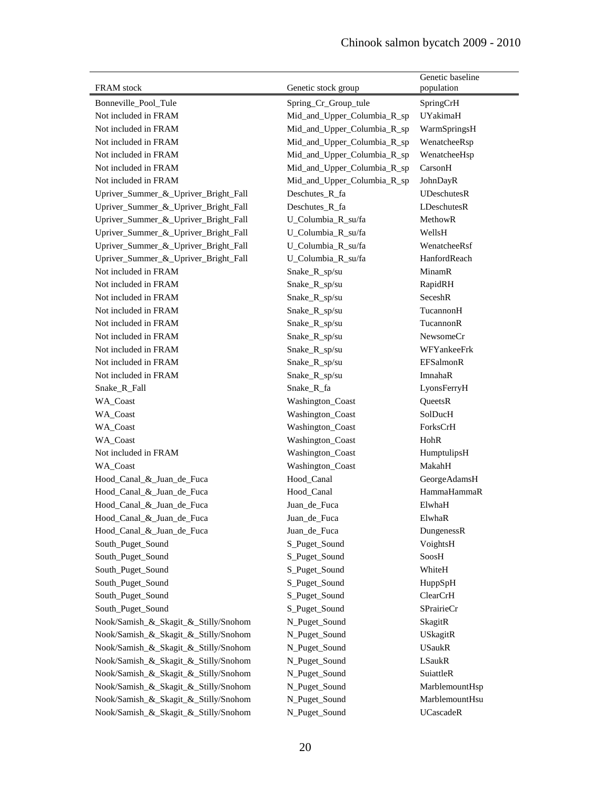|                                      |                             | Genetic baseline |
|--------------------------------------|-----------------------------|------------------|
| <b>FRAM</b> stock                    | Genetic stock group         | population       |
| Bonneville_Pool_Tule                 | Spring_Cr_Group_tule        | SpringCrH        |
| Not included in FRAM                 | Mid_and_Upper_Columbia_R_sp | UYakimaH         |
| Not included in FRAM                 | Mid_and_Upper_Columbia_R_sp | WarmSpringsH     |
| Not included in FRAM                 | Mid_and_Upper_Columbia_R_sp | WenatcheeRsp     |
| Not included in FRAM                 | Mid_and_Upper_Columbia_R_sp | WenatcheeHsp     |
| Not included in FRAM                 | Mid_and_Upper_Columbia_R_sp | CarsonH          |
| Not included in FRAM                 | Mid_and_Upper_Columbia_R_sp | JohnDayR         |
| Upriver_Summer_&_Upriver_Bright_Fall | Deschutes_R_fa              | UDeschutesR      |
| Upriver_Summer_&_Upriver_Bright_Fall | Deschutes_R_fa              | LDeschutesR      |
| Upriver_Summer_&_Upriver_Bright_Fall | U_Columbia_R_su/fa          | MethowR          |
| Upriver_Summer_&_Upriver_Bright_Fall | U_Columbia_R_su/fa          | WellsH           |
| Upriver_Summer_&_Upriver_Bright_Fall | U_Columbia_R_su/fa          | WenatcheeRsf     |
| Upriver_Summer_&_Upriver_Bright_Fall | U_Columbia_R_su/fa          | HanfordReach     |
| Not included in FRAM                 | Snake_R_sp/su               | MinamR           |
| Not included in FRAM                 | Snake_R_sp/su               | RapidRH          |
| Not included in FRAM                 | Snake_R_sp/su               | SeceshR          |
| Not included in FRAM                 | Snake_R_sp/su               | TucannonH        |
| Not included in FRAM                 | Snake_R_sp/su               | TucannonR        |
| Not included in FRAM                 | Snake_R_sp/su               | NewsomeCr        |
| Not included in FRAM                 | Snake_R_sp/su               | WFYankeeFrk      |
| Not included in FRAM                 | Snake_R_sp/su               | <b>EFSalmonR</b> |
| Not included in FRAM                 | Snake_R_sp/su               | ImnahaR          |
| Snake_R_Fall                         | Snake_R_fa                  | LyonsFerryH      |
| WA_Coast                             | Washington_Coast            | QueetsR          |
| WA_Coast                             | Washington_Coast            | SolDucH          |
| WA_Coast                             | Washington_Coast            | ForksCrH         |
| WA_Coast                             | Washington_Coast            | HohR             |
| Not included in FRAM                 | Washington_Coast            | HumptulipsH      |
| <b>WA_Coast</b>                      | Washington_Coast            | MakahH           |
| Hood_Canal_&_Juan_de_Fuca            | Hood_Canal                  | GeorgeAdamsH     |
| Hood_Canal_&_Juan_de_Fuca            | Hood_Canal                  | HammaHammaR      |
| Hood_Canal_&_Juan_de_Fuca            | Juan_de_Fuca                | ElwhaH           |
| Hood_Canal_&_Juan_de_Fuca            | Juan_de_Fuca                | ElwhaR           |
| Hood_Canal_&_Juan_de_Fuca            | Juan_de_Fuca                | DungenessR       |
| South_Puget_Sound                    | S_Puget_Sound               | VoightsH         |
| South_Puget_Sound                    | S_Puget_Sound               | SoosH            |
| South_Puget_Sound                    | S_Puget_Sound               | WhiteH           |
| South_Puget_Sound                    | S_Puget_Sound               | HuppSpH          |
| South_Puget_Sound                    | S_Puget_Sound               | ClearCrH         |
| South_Puget_Sound                    | S_Puget_Sound               | SPrairieCr       |
| Nook/Samish_&_Skagit_&_Stilly/Snohom | N_Puget_Sound               | SkagitR          |
| Nook/Samish_&_Skagit_&_Stilly/Snohom | N_Puget_Sound               | USkagitR         |
| Nook/Samish_&_Skagit_&_Stilly/Snohom | N_Puget_Sound               | <b>USaukR</b>    |
| Nook/Samish_&_Skagit_&_Stilly/Snohom | N_Puget_Sound               | LSaukR           |
| Nook/Samish_&_Skagit_&_Stilly/Snohom | N_Puget_Sound               | SuiattleR        |
| Nook/Samish_&_Skagit_&_Stilly/Snohom | N_Puget_Sound               | MarblemountHsp   |
| Nook/Samish_&_Skagit_&_Stilly/Snohom | N_Puget_Sound               | MarblemountHsu   |
| Nook/Samish_&_Skagit_&_Stilly/Snohom | N_Puget_Sound               | UCascadeR        |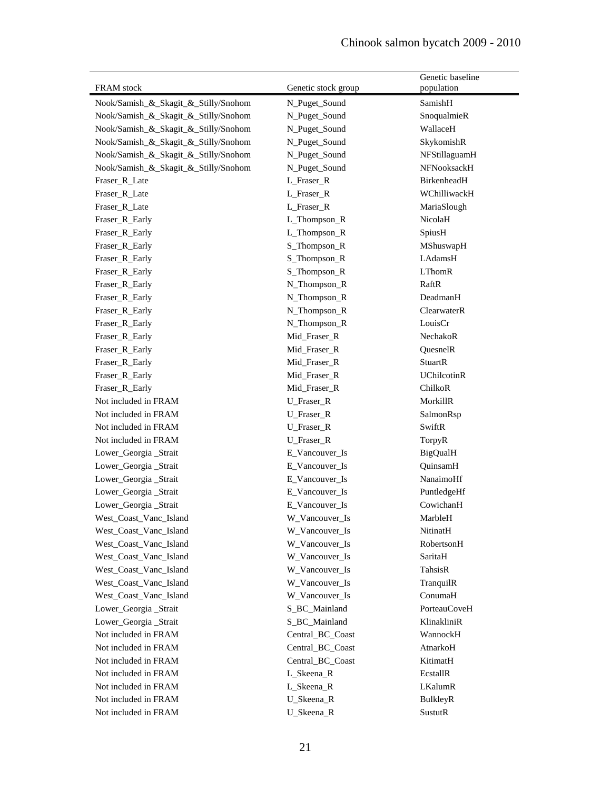| FRAM stock                           |                     | Genetic baseline<br>population |
|--------------------------------------|---------------------|--------------------------------|
|                                      | Genetic stock group |                                |
| Nook/Samish_&_Skagit_&_Stilly/Snohom | N_Puget_Sound       | SamishH                        |
| Nook/Samish_&_Skagit_&_Stilly/Snohom | N_Puget_Sound       | SnoqualmieR                    |
| Nook/Samish_&_Skagit_&_Stilly/Snohom | N_Puget_Sound       | WallaceH                       |
| Nook/Samish_&_Skagit_&_Stilly/Snohom | N_Puget_Sound       | SkykomishR                     |
| Nook/Samish_&_Skagit_&_Stilly/Snohom | N_Puget_Sound       | NFStillaguamH                  |
| Nook/Samish_&_Skagit_&_Stilly/Snohom | N_Puget_Sound       | NFNooksackH                    |
| Fraser_R_Late                        | L_Fraser_R          | BirkenheadH                    |
| Fraser_R_Late                        | L_Fraser_R          | WChilliwackH                   |
| Fraser_R_Late                        | L_Fraser_R          | MariaSlough                    |
| Fraser_R_Early                       | L_Thompson_R        | NicolaH                        |
| Fraser_R_Early                       | L_Thompson_R        | SpiusH                         |
| Fraser_R_Early                       | S_Thompson_R        | MShuswapH                      |
| Fraser_R_Early                       | S_Thompson_R        | LAdamsH                        |
| Fraser_R_Early                       | S_Thompson_R        | <b>LThomR</b>                  |
| Fraser_R_Early                       | N_Thompson_R        | RaftR                          |
| Fraser_R_Early                       | N_Thompson_R        | DeadmanH                       |
| Fraser_R_Early                       | N_Thompson_R        | ClearwaterR                    |
| Fraser_R_Early                       | N_Thompson_R        | LouisCr                        |
| Fraser_R_Early                       | Mid_Fraser_R        | NechakoR                       |
| Fraser_R_Early                       | Mid_Fraser_R        | QuesnelR                       |
| Fraser_R_Early                       | Mid_Fraser_R        | <b>StuartR</b>                 |
| Fraser_R_Early                       | Mid_Fraser_R        | <b>UChilcotinR</b>             |
| Fraser_R_Early                       | Mid_Fraser_R        | ChilkoR                        |
| Not included in FRAM                 | U_Fraser_R          | MorkillR                       |
| Not included in FRAM                 | U_Fraser_R          | SalmonRsp                      |
| Not included in FRAM                 | U_Fraser_R          | SwiftR                         |
| Not included in FRAM                 | U_Fraser_R          | TorpyR                         |
| Lower_Georgia_Strait                 | E_Vancouver_Is      | <b>BigQualH</b>                |
| Lower_Georgia_Strait                 | E_Vancouver_Is      | QuinsamH                       |
| Lower_Georgia_Strait                 | E_Vancouver_Is      | NanaimoHf                      |
| Lower_Georgia_Strait                 | E_Vancouver_Is      | PuntledgeHf                    |
| Lower_Georgia_Strait                 | E_Vancouver_Is      | CowichanH                      |
| West_Coast_Vanc_Island               | W_Vancouver_Is      | MarbleH                        |
| West_Coast_Vanc_Island               | W_Vancouver_Is      | NitinatH                       |
| West_Coast_Vanc_Island               | W_Vancouver_Is      | RobertsonH                     |
| West_Coast_Vanc_Island               | W_Vancouver_Is      | SaritaH                        |
| West_Coast_Vanc_Island               | W_Vancouver_Is      | TahsisR                        |
| West_Coast_Vanc_Island               | W_Vancouver_Is      | TranquilR                      |
| West Coast_Vanc_Island               | W_Vancouver_Is      | ConumaH                        |
| Lower_Georgia_Strait                 | S_BC_Mainland       | <b>PorteauCoveH</b>            |
| Lower_Georgia_Strait                 | S_BC_Mainland       | KlinakliniR                    |
| Not included in FRAM                 | Central_BC_Coast    | WannockH                       |
| Not included in FRAM                 | Central_BC_Coast    | AtnarkoH                       |
| Not included in FRAM                 | Central_BC_Coast    | KitimatH                       |
| Not included in FRAM                 | L_Skeena_R          | EcstallR                       |
| Not included in FRAM                 | L_Skeena_R          | LKalumR                        |
| Not included in FRAM                 | U_Skeena_R          | BulkleyR                       |
| Not included in FRAM                 | U_Skeena_R          | <b>SustutR</b>                 |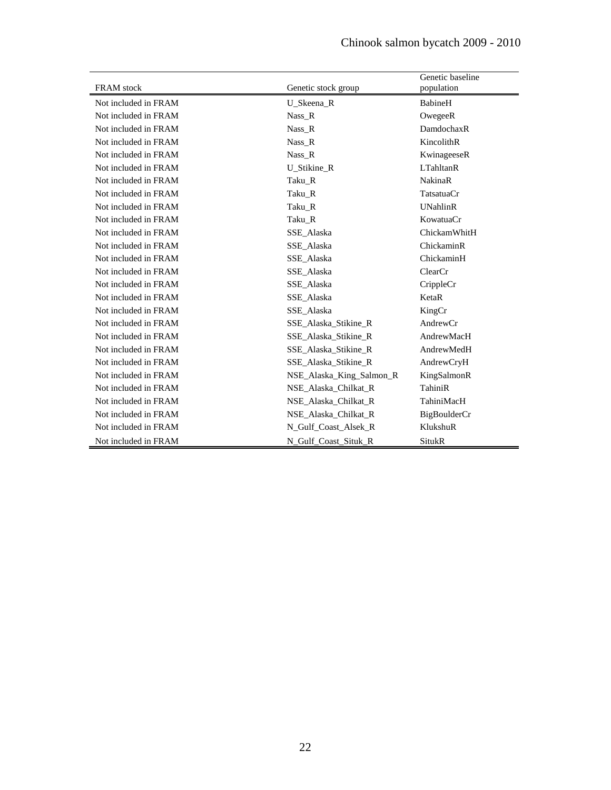| <b>FRAM</b> stock    | Genetic stock group      | Genetic baseline<br>population |
|----------------------|--------------------------|--------------------------------|
| Not included in FRAM | U Skeena R               | BabineH                        |
| Not included in FRAM | Nass R                   | OwegeeR                        |
| Not included in FRAM | Nass R                   | DamdochaxR                     |
| Not included in FRAM | Nass_R                   | KincolithR                     |
| Not included in FRAM | Nass R                   | KwinageeseR                    |
| Not included in FRAM | U_Stikine_R              | <b>LTahltanR</b>               |
| Not included in FRAM | Taku_R                   | <b>NakinaR</b>                 |
| Not included in FRAM | Taku R                   | TatsatuaCr                     |
| Not included in FRAM | Taku_R                   | <b>UNahlinR</b>                |
| Not included in FRAM | Taku_R                   | KowatuaCr                      |
| Not included in FRAM | SSE_Alaska               | ChickamWhitH                   |
| Not included in FRAM | SSE_Alaska               | ChickaminR                     |
| Not included in FRAM | SSE_Alaska               | ChickaminH                     |
| Not included in FRAM | SSE Alaska               | ClearCr                        |
| Not included in FRAM | SSE_Alaska               | CrippleCr                      |
| Not included in FRAM | SSE_Alaska               | KetaR                          |
| Not included in FRAM | SSE_Alaska               | KingCr                         |
| Not included in FRAM | SSE Alaska Stikine R     | AndrewCr                       |
| Not included in FRAM | SSE_Alaska_Stikine_R     | AndrewMacH                     |
| Not included in FRAM | SSE Alaska Stikine R     | AndrewMedH                     |
| Not included in FRAM | SSE Alaska Stikine R     | AndrewCryH                     |
| Not included in FRAM | NSE Alaska King Salmon R | KingSalmonR                    |
| Not included in FRAM | NSE Alaska Chilkat R     | TahiniR                        |
| Not included in FRAM | NSE Alaska Chilkat R     | TahiniMacH                     |
| Not included in FRAM | NSE Alaska Chilkat R     | BigBoulderCr                   |
| Not included in FRAM | N_Gulf_Coast_Alsek_R     | KlukshuR                       |
| Not included in FRAM | N_Gulf_Coast_Situk_R     | SitukR                         |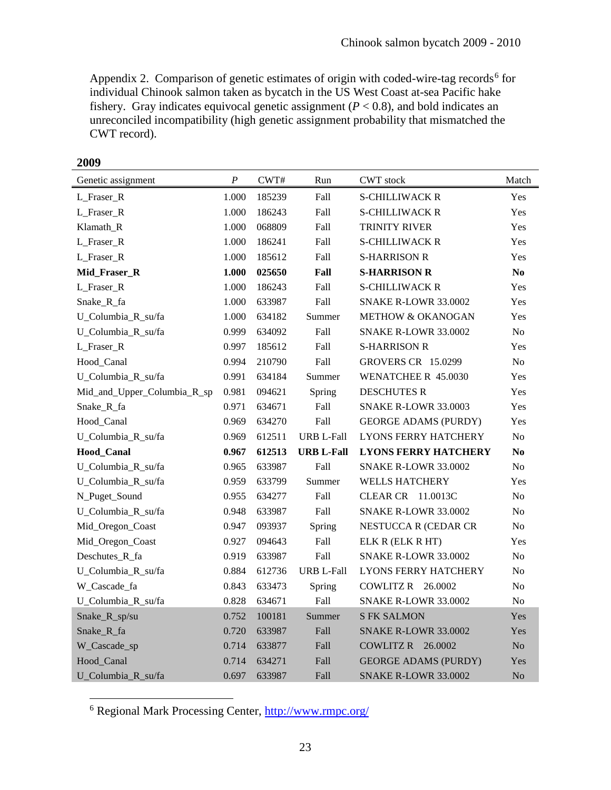Appendix 2. Comparison of genetic estimates of origin with coded-wire-tag records<sup>[6](#page-22-0)</sup> for individual Chinook salmon taken as bycatch in the US West Coast at-sea Pacific hake fishery. Gray indicates equivocal genetic assignment  $(P < 0.8)$ , and bold indicates an unreconciled incompatibility (high genetic assignment probability that mismatched the CWT record).

| Genetic assignment          | $\boldsymbol{P}$ | CWT#   | Run               | <b>CWT</b> stock            | Match          |
|-----------------------------|------------------|--------|-------------------|-----------------------------|----------------|
| L_Fraser_R                  | 1.000            | 185239 | Fall              | <b>S-CHILLIWACK R</b>       | Yes            |
| L_Fraser_R                  | 1.000            | 186243 | Fall              | <b>S-CHILLIWACK R</b>       | Yes            |
| Klamath_R                   | 1.000            | 068809 | Fall              | TRINITY RIVER               | Yes            |
| L_Fraser_R                  | 1.000            | 186241 | Fall              | <b>S-CHILLIWACK R</b>       | Yes            |
| L_Fraser_R                  | 1.000            | 185612 | Fall              | <b>S-HARRISON R</b>         | Yes            |
| Mid_Fraser_R                | 1.000            | 025650 | Fall              | <b>S-HARRISON R</b>         | $\bf No$       |
| L_Fraser_R                  | 1.000            | 186243 | Fall              | <b>S-CHILLIWACK R</b>       | Yes            |
| Snake_R_fa                  | 1.000            | 633987 | Fall              | <b>SNAKE R-LOWR 33.0002</b> | Yes            |
| U_Columbia_R_su/fa          | 1.000            | 634182 | Summer            | METHOW & OKANOGAN           | Yes            |
| U_Columbia_R_su/fa          | 0.999            | 634092 | Fall              | SNAKE R-LOWR 33.0002        | No             |
| L_Fraser_R                  | 0.997            | 185612 | Fall              | <b>S-HARRISON R</b>         | Yes            |
| Hood_Canal                  | 0.994            | 210790 | Fall              | <b>GROVERS CR 15.0299</b>   | No             |
| U_Columbia_R_su/fa          | 0.991            | 634184 | Summer            | WENATCHEE R 45.0030         | Yes            |
| Mid_and_Upper_Columbia_R_sp | 0.981            | 094621 | Spring            | <b>DESCHUTES R</b>          | Yes            |
| Snake_R_fa                  | 0.971            | 634671 | Fall              | <b>SNAKE R-LOWR 33.0003</b> | Yes            |
| Hood_Canal                  | 0.969            | 634270 | Fall              | <b>GEORGE ADAMS (PURDY)</b> | Yes            |
| U_Columbia_R_su/fa          | 0.969            | 612511 | <b>URB L-Fall</b> | <b>LYONS FERRY HATCHERY</b> | No             |
| <b>Hood Canal</b>           | 0.967            | 612513 | <b>URB L-Fall</b> | <b>LYONS FERRY HATCHERY</b> | N <sub>0</sub> |
| U_Columbia_R_su/fa          | 0.965            | 633987 | Fall              | <b>SNAKE R-LOWR 33.0002</b> | No             |
| U_Columbia_R_su/fa          | 0.959            | 633799 | Summer            | <b>WELLS HATCHERY</b>       | Yes            |
| N_Puget_Sound               | 0.955            | 634277 | Fall              | CLEAR CR 11.0013C           | No             |
| U_Columbia_R_su/fa          | 0.948            | 633987 | Fall              | <b>SNAKE R-LOWR 33.0002</b> | No             |
| Mid_Oregon_Coast            | 0.947            | 093937 | Spring            | NESTUCCA R (CEDAR CR        | No             |
| Mid_Oregon_Coast            | 0.927            | 094643 | Fall              | ELK R (ELK R HT)            | Yes            |
| Deschutes_R_fa              | 0.919            | 633987 | Fall              | <b>SNAKE R-LOWR 33.0002</b> | No             |
| U_Columbia_R_su/fa          | 0.884            | 612736 | <b>URB L-Fall</b> | <b>LYONS FERRY HATCHERY</b> | No             |
| W_Cascade_fa                | 0.843            | 633473 | Spring            | COWLITZ R 26.0002           | No             |
| U_Columbia_R_su/fa          | 0.828            | 634671 | Fall              | <b>SNAKE R-LOWR 33.0002</b> | No             |
| Snake_R_sp/su               | 0.752            | 100181 | Summer            | <b>S FK SALMON</b>          | Yes            |
| Snake_R_fa                  | 0.720            | 633987 | Fall              | <b>SNAKE R-LOWR 33.0002</b> | Yes            |
| W_Cascade_sp                | 0.714            | 633877 | Fall              | COWLITZ R 26.0002           | No             |
| Hood_Canal                  | 0.714            | 634271 | Fall              | <b>GEORGE ADAMS (PURDY)</b> | Yes            |
| U_Columbia_R_su/fa          | 0.697            | 633987 | Fall              | <b>SNAKE R-LOWR 33.0002</b> | No             |

**2009**

 $\overline{a}$ 

<span id="page-22-0"></span><sup>6</sup> Regional Mark Processing Center,<http://www.rmpc.org/>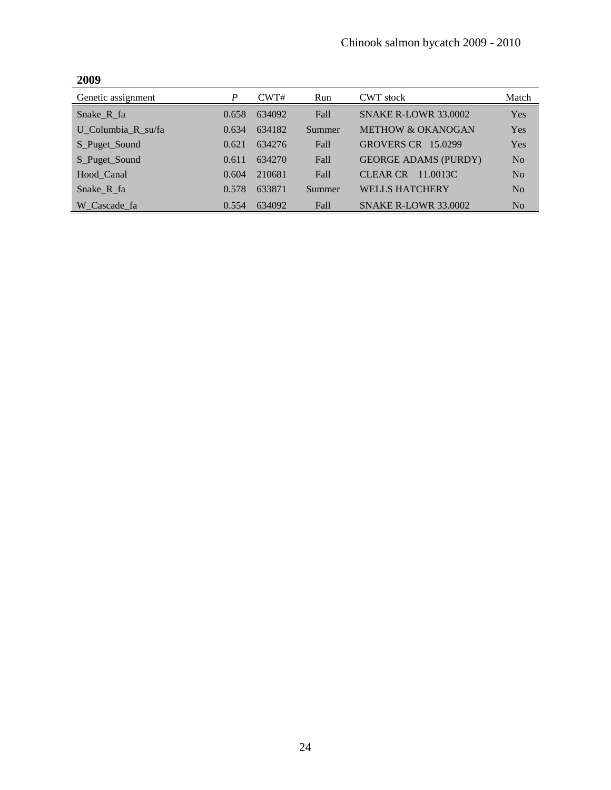| Genetic assignment | P     | CWT#   | Run    | <b>CWT</b> stock             | Match          |
|--------------------|-------|--------|--------|------------------------------|----------------|
| Snake_R_fa         | 0.658 | 634092 | Fall   | <b>SNAKE R-LOWR 33.0002</b>  | Yes            |
| U Columbia R su/fa | 0.634 | 634182 | Summer | <b>METHOW &amp; OKANOGAN</b> | Yes            |
| S_Puget_Sound      | 0.621 | 634276 | Fall   | <b>GROVERS CR 15.0299</b>    | Yes            |
| S_Puget_Sound      | 0.611 | 634270 | Fall   | <b>GEORGE ADAMS (PURDY)</b>  | No             |
| Hood Canal         | 0.604 | 210681 | Fall   | <b>CLEAR CR</b><br>11.0013C  | No             |
| Snake R fa         | 0.578 | 633871 | Summer | <b>WELLS HATCHERY</b>        | No             |
| W Cascade fa       | 0.554 | 634092 | Fall   | <b>SNAKE R-LOWR 33.0002</b>  | N <sub>0</sub> |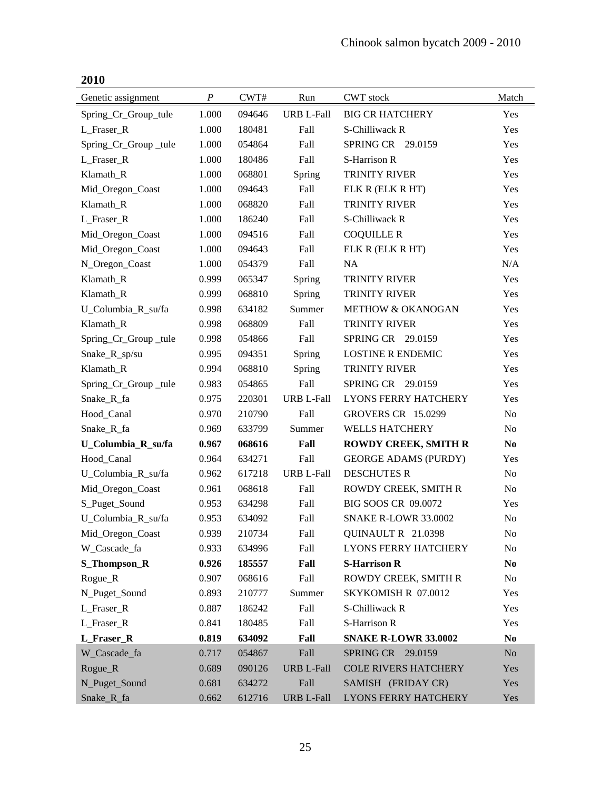| 2010                 |                  |        |                   |                              |                |
|----------------------|------------------|--------|-------------------|------------------------------|----------------|
| Genetic assignment   | $\boldsymbol{P}$ | CWT#   | Run               | <b>CWT</b> stock             | Match          |
| Spring_Cr_Group_tule | 1.000            | 094646 | URB L-Fall        | <b>BIG CR HATCHERY</b>       | Yes            |
| L_Fraser_R           | 1.000            | 180481 | Fall              | S-Chilliwack R               | Yes            |
| Spring_Cr_Group_tule | 1.000            | 054864 | Fall              | SPRING CR 29.0159            | Yes            |
| L_Fraser_R           | 1.000            | 180486 | Fall              | S-Harrison R                 | Yes            |
| Klamath_R            | 1.000            | 068801 | Spring            | <b>TRINITY RIVER</b>         | Yes            |
| Mid_Oregon_Coast     | 1.000            | 094643 | Fall              | ELK R (ELK R HT)             | Yes            |
| Klamath_R            | 1.000            | 068820 | Fall              | <b>TRINITY RIVER</b>         | Yes            |
| L_Fraser_R           | 1.000            | 186240 | Fall              | S-Chilliwack R               | Yes            |
| Mid_Oregon_Coast     | 1.000            | 094516 | Fall              | <b>COQUILLE R</b>            | Yes            |
| Mid_Oregon_Coast     | 1.000            | 094643 | Fall              | ELK R (ELK R HT)             | Yes            |
| N_Oregon_Coast       | 1.000            | 054379 | Fall              | NA                           | N/A            |
| Klamath_R            | 0.999            | 065347 | Spring            | <b>TRINITY RIVER</b>         | Yes            |
| Klamath_R            | 0.999            | 068810 | Spring            | <b>TRINITY RIVER</b>         | Yes            |
| U_Columbia_R_su/fa   | 0.998            | 634182 | Summer            | <b>METHOW &amp; OKANOGAN</b> | Yes            |
| Klamath R            | 0.998            | 068809 | Fall              | TRINITY RIVER                | Yes            |
| Spring_Cr_Group_tule | 0.998            | 054866 | Fall              | SPRING CR 29.0159            | Yes            |
| Snake_R_sp/su        | 0.995            | 094351 | Spring            | <b>LOSTINE R ENDEMIC</b>     | Yes            |
| Klamath_R            | 0.994            | 068810 | Spring            | <b>TRINITY RIVER</b>         | Yes            |
| Spring_Cr_Group_tule | 0.983            | 054865 | Fall              | SPRING CR 29.0159            | Yes            |
| Snake_R_fa           | 0.975            | 220301 | <b>URB L-Fall</b> | <b>LYONS FERRY HATCHERY</b>  | Yes            |
| Hood_Canal           | 0.970            | 210790 | Fall              | <b>GROVERS CR 15.0299</b>    | No             |
| Snake_R_fa           | 0.969            | 633799 | Summer            | <b>WELLS HATCHERY</b>        | No             |
| U_Columbia_R_su/fa   | 0.967            | 068616 | Fall              | <b>ROWDY CREEK, SMITH R</b>  | N <sub>0</sub> |
| Hood_Canal           | 0.964            | 634271 | Fall              | <b>GEORGE ADAMS (PURDY)</b>  | Yes            |
| U_Columbia_R_su/fa   | 0.962            | 617218 | <b>URB L-Fall</b> | <b>DESCHUTES R</b>           | No             |
| Mid_Oregon_Coast     | 0.961            | 068618 | Fall              | ROWDY CREEK, SMITH R         | No             |
| S_Puget_Sound        | 0.953            | 634298 | Fall              | BIG SOOS CR 09.0072          | Yes            |
| U_Columbia_R_su/fa   | 0.953            | 634092 | Fall              | <b>SNAKE R-LOWR 33.0002</b>  | No             |
| Mid_Oregon_Coast     | 0.939            | 210734 | Fall              | QUINAULT R 21.0398           | No             |
| W_Cascade_fa         | 0.933            | 634996 | Fall              | <b>LYONS FERRY HATCHERY</b>  | No             |
| S_Thompson_R         | 0.926            | 185557 | Fall              | <b>S-Harrison R</b>          | N <sub>0</sub> |
| Rogue_R              | 0.907            | 068616 | Fall              | ROWDY CREEK, SMITH R         | No             |
| N_Puget_Sound        | 0.893            | 210777 | Summer            | SKYKOMISH R 07.0012          | Yes            |
| L_Fraser_R           | 0.887            | 186242 | Fall              | S-Chilliwack R               | Yes            |
| L_Fraser_R           | 0.841            | 180485 | Fall              | S-Harrison R                 | Yes            |
| L_Fraser_R           | 0.819            | 634092 | Fall              | <b>SNAKE R-LOWR 33.0002</b>  | N <sub>0</sub> |
| W_Cascade_fa         | 0.717            | 054867 | Fall              | SPRING CR 29.0159            | $\rm No$       |
| Rogue_R              | 0.689            | 090126 | <b>URB L-Fall</b> | <b>COLE RIVERS HATCHERY</b>  | Yes            |
| N_Puget_Sound        | 0.681            | 634272 | Fall              | SAMISH (FRIDAY CR)           | Yes            |
| Snake_R_fa           | 0.662            | 612716 | <b>URB L-Fall</b> | <b>LYONS FERRY HATCHERY</b>  | Yes            |